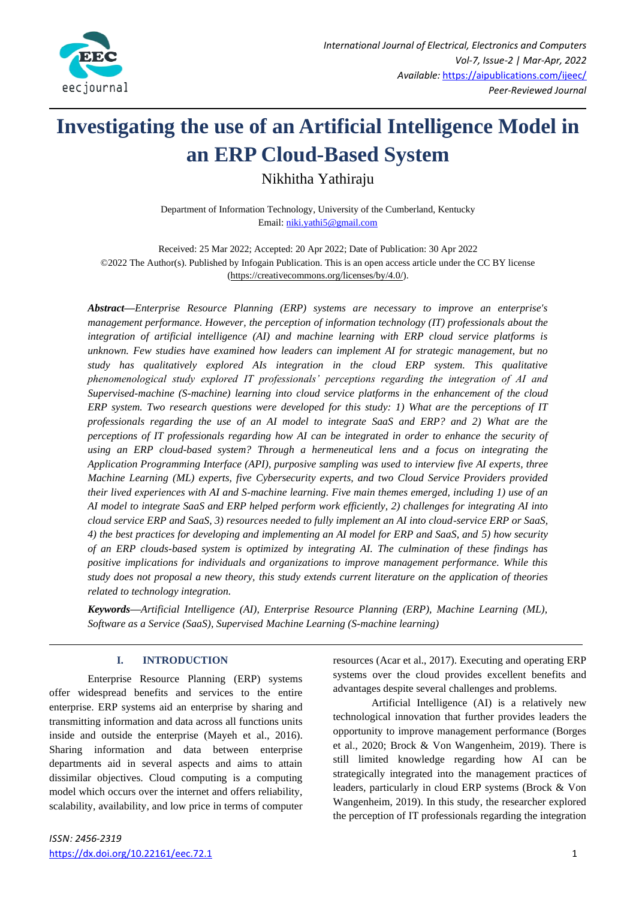

# **Investigating the use of an Artificial Intelligence Model in an ERP Cloud-Based System**

Nikhitha Yathiraju

Department of Information Technology, University of the Cumberland, Kentucky Email: [niki.yathi5@gmail.com](mailto:niki.yathi5@gmail.com)

Received: 25 Mar 2022; Accepted: 20 Apr 2022; Date of Publication: 30 Apr 2022 ©2022 The Author(s). Published by Infogain Publication. This is an open access article under the CC BY license [\(https://creativecommons.org/licenses/by/4.0/\)](https://creativecommons.org/licenses/by/4.0/).

*Abstract—Enterprise Resource Planning (ERP) systems are necessary to improve an enterprise's management performance. However, the perception of information technology (IT) professionals about the integration of artificial intelligence (AI) and machine learning with ERP cloud service platforms is unknown. Few studies have examined how leaders can implement AI for strategic management, but no study has qualitatively explored AIs integration in the cloud ERP system. This qualitative phenomenological study explored IT professionals' perceptions regarding the integration of AI and Supervised-machine (S-machine) learning into cloud service platforms in the enhancement of the cloud ERP system. Two research questions were developed for this study: 1) What are the perceptions of IT professionals regarding the use of an AI model to integrate SaaS and ERP? and 2) What are the perceptions of IT professionals regarding how AI can be integrated in order to enhance the security of using an ERP cloud-based system? Through a hermeneutical lens and a focus on integrating the Application Programming Interface (API), purposive sampling was used to interview five AI experts, three Machine Learning (ML) experts, five Cybersecurity experts, and two Cloud Service Providers provided their lived experiences with AI and S-machine learning. Five main themes emerged, including 1) use of an AI model to integrate SaaS and ERP helped perform work efficiently, 2) challenges for integrating AI into cloud service ERP and SaaS, 3) resources needed to fully implement an AI into cloud-service ERP or SaaS, 4) the best practices for developing and implementing an AI model for ERP and SaaS, and 5) how security of an ERP clouds-based system is optimized by integrating AI. The culmination of these findings has positive implications for individuals and organizations to improve management performance. While this study does not proposal a new theory, this study extends current literature on the application of theories related to technology integration.*

*Keywords***—***Artificial Intelligence (AI), Enterprise Resource Planning (ERP), Machine Learning (ML), Software as a Service (SaaS), Supervised Machine Learning (S-machine learning)*

## **I. INTRODUCTION**

Enterprise Resource Planning (ERP) systems offer widespread benefits and services to the entire enterprise. ERP systems aid an enterprise by sharing and transmitting information and data across all functions units inside and outside the enterprise (Mayeh et al., 2016). Sharing information and data between enterprise departments aid in several aspects and aims to attain dissimilar objectives. Cloud computing is a computing model which occurs over the internet and offers reliability, scalability, availability, and low price in terms of computer resources (Acar et al., 2017). Executing and operating ERP systems over the cloud provides excellent benefits and advantages despite several challenges and problems.

Artificial Intelligence (AI) is a relatively new technological innovation that further provides leaders the opportunity to improve management performance (Borges et al., 2020; Brock & Von Wangenheim, 2019). There is still limited knowledge regarding how AI can be strategically integrated into the management practices of leaders, particularly in cloud ERP systems (Brock & Von Wangenheim, 2019). In this study, the researcher explored the perception of IT professionals regarding the integration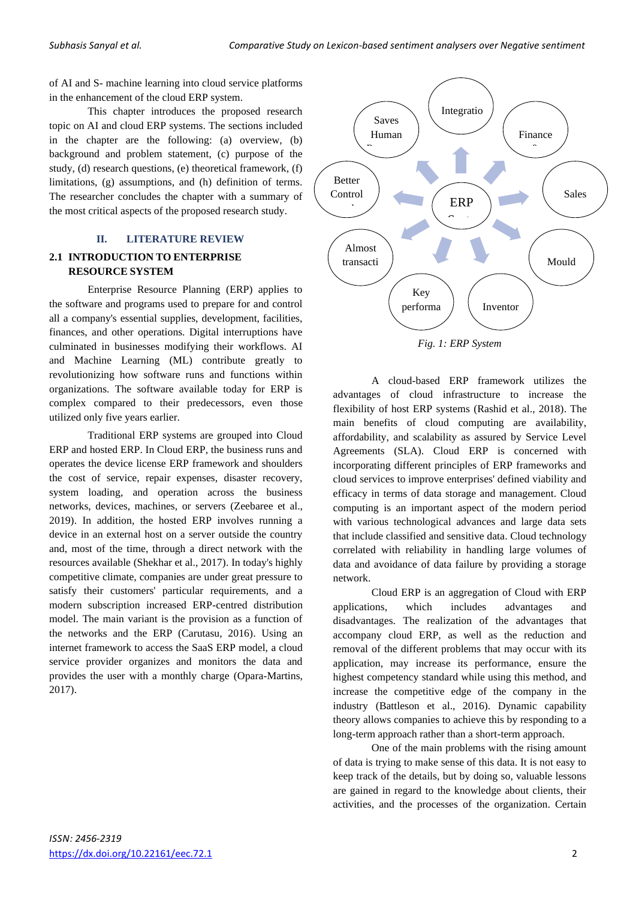of AI and S- machine learning into cloud service platforms in the enhancement of the cloud ERP system.

This chapter introduces the proposed research topic on AI and cloud ERP systems. The sections included in the chapter are the following: (a) overview, (b) background and problem statement, (c) purpose of the study, (d) research questions, (e) theoretical framework, (f) limitations, (g) assumptions, and (h) definition of terms. The researcher concludes the chapter with a summary of the most critical aspects of the proposed research study.

## **II. LITERATURE REVIEW**

## **2.1 INTRODUCTION TO ENTERPRISE RESOURCE SYSTEM**

Enterprise Resource Planning (ERP) applies to the software and programs used to prepare for and control all a company's essential supplies, development, facilities, finances, and other operations. Digital interruptions have culminated in businesses modifying their workflows. AI and Machine Learning (ML) contribute greatly to revolutionizing how software runs and functions within organizations. The software available today for ERP is complex compared to their predecessors, even those utilized only five years earlier.

Traditional ERP systems are grouped into Cloud ERP and hosted ERP. In Cloud ERP, the business runs and operates the device license ERP framework and shoulders the cost of service, repair expenses, disaster recovery, system loading, and operation across the business networks, devices, machines, or servers (Zeebaree et al., 2019). In addition, the hosted ERP involves running a device in an external host on a server outside the country and, most of the time, through a direct network with the resources available (Shekhar et al., 2017). In today's highly competitive climate, companies are under great pressure to satisfy their customers' particular requirements, and a modern subscription increased ERP-centred distribution model. The main variant is the provision as a function of the networks and the ERP (Carutasu, 2016). Using an internet framework to access the SaaS ERP model, a cloud service provider organizes and monitors the data and provides the user with a monthly charge (Opara-Martins, 2017).



A cloud-based ERP framework utilizes the advantages of cloud infrastructure to increase the flexibility of host ERP systems (Rashid et al., 2018). The main benefits of cloud computing are availability, affordability, and scalability as assured by Service Level Agreements (SLA). Cloud ERP is concerned with incorporating different principles of ERP frameworks and cloud services to improve enterprises' defined viability and efficacy in terms of data storage and management. Cloud computing is an important aspect of the modern period with various technological advances and large data sets that include classified and sensitive data. Cloud technology correlated with reliability in handling large volumes of data and avoidance of data failure by providing a storage network.

Cloud ERP is an aggregation of Cloud with ERP applications, which includes advantages and disadvantages. The realization of the advantages that accompany cloud ERP, as well as the reduction and removal of the different problems that may occur with its application, may increase its performance, ensure the highest competency standard while using this method, and increase the competitive edge of the company in the industry (Battleson et al., 2016). Dynamic capability theory allows companies to achieve this by responding to a long-term approach rather than a short-term approach.

One of the main problems with the rising amount of data is trying to make sense of this data. It is not easy to keep track of the details, but by doing so, valuable lessons are gained in regard to the knowledge about clients, their activities, and the processes of the organization. Certain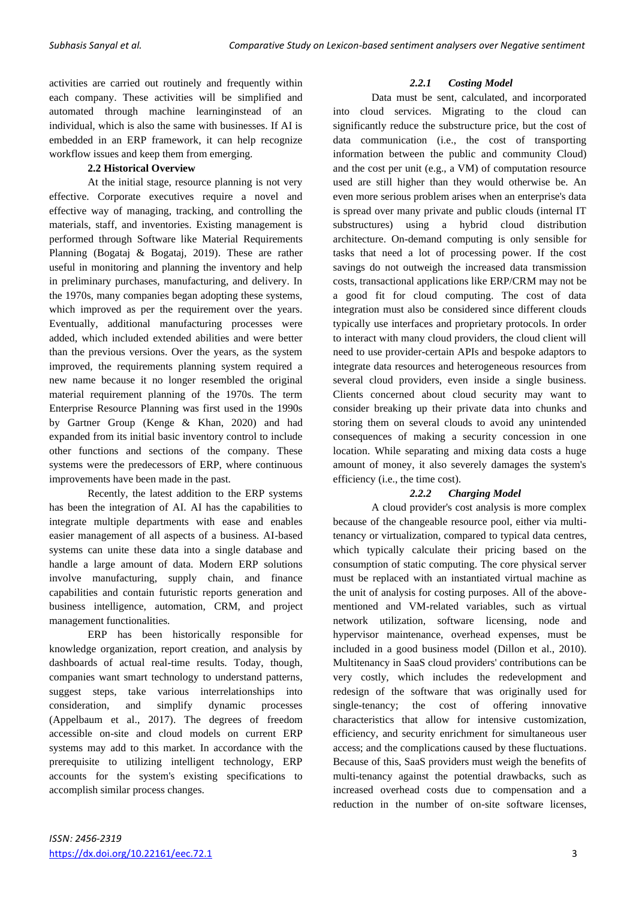activities are carried out routinely and frequently within each company. These activities will be simplified and automated through machine learninginstead of an individual, which is also the same with businesses. If AI is embedded in an ERP framework, it can help recognize workflow issues and keep them from emerging.

## **2.2 Historical Overview**

At the initial stage, resource planning is not very effective. Corporate executives require a novel and effective way of managing, tracking, and controlling the materials, staff, and inventories. Existing management is performed through Software like Material Requirements Planning (Bogataj & Bogataj, 2019). These are rather useful in monitoring and planning the inventory and help in preliminary purchases, manufacturing, and delivery. In the 1970s, many companies began adopting these systems, which improved as per the requirement over the years. Eventually, additional manufacturing processes were added, which included extended abilities and were better than the previous versions. Over the years, as the system improved, the requirements planning system required a new name because it no longer resembled the original material requirement planning of the 1970s. The term Enterprise Resource Planning was first used in the 1990s by Gartner Group (Kenge & Khan, 2020) and had expanded from its initial basic inventory control to include other functions and sections of the company. These systems were the predecessors of ERP, where continuous improvements have been made in the past.

Recently, the latest addition to the ERP systems has been the integration of AI. AI has the capabilities to integrate multiple departments with ease and enables easier management of all aspects of a business. AI-based systems can unite these data into a single database and handle a large amount of data. Modern ERP solutions involve manufacturing, supply chain, and finance capabilities and contain futuristic reports generation and business intelligence, automation, CRM, and project management functionalities.

ERP has been historically responsible for knowledge organization, report creation, and analysis by dashboards of actual real-time results. Today, though, companies want smart technology to understand patterns, suggest steps, take various interrelationships into consideration, and simplify dynamic processes (Appelbaum et al., 2017). The degrees of freedom accessible on-site and cloud models on current ERP systems may add to this market. In accordance with the prerequisite to utilizing intelligent technology, ERP accounts for the system's existing specifications to accomplish similar process changes.

## *2.2.1 Costing Model*

Data must be sent, calculated, and incorporated into cloud services. Migrating to the cloud can significantly reduce the substructure price, but the cost of data communication (i.e., the cost of transporting information between the public and community Cloud) and the cost per unit (e.g., a VM) of computation resource used are still higher than they would otherwise be. An even more serious problem arises when an enterprise's data is spread over many private and public clouds (internal IT substructures) using a hybrid cloud distribution architecture. On-demand computing is only sensible for tasks that need a lot of processing power. If the cost savings do not outweigh the increased data transmission costs, transactional applications like ERP/CRM may not be a good fit for cloud computing. The cost of data integration must also be considered since different clouds typically use interfaces and proprietary protocols. In order to interact with many cloud providers, the cloud client will need to use provider-certain APIs and bespoke adaptors to integrate data resources and heterogeneous resources from several cloud providers, even inside a single business. Clients concerned about cloud security may want to consider breaking up their private data into chunks and storing them on several clouds to avoid any unintended consequences of making a security concession in one location. While separating and mixing data costs a huge amount of money, it also severely damages the system's efficiency (i.e., the time cost).

## *2.2.2 Charging Model*

A cloud provider's cost analysis is more complex because of the changeable resource pool, either via multitenancy or virtualization, compared to typical data centres, which typically calculate their pricing based on the consumption of static computing. The core physical server must be replaced with an instantiated virtual machine as the unit of analysis for costing purposes. All of the abovementioned and VM-related variables, such as virtual network utilization, software licensing, node and hypervisor maintenance, overhead expenses, must be included in a good business model (Dillon et al., 2010). Multitenancy in SaaS cloud providers' contributions can be very costly, which includes the redevelopment and redesign of the software that was originally used for single-tenancy; the cost of offering innovative characteristics that allow for intensive customization, efficiency, and security enrichment for simultaneous user access; and the complications caused by these fluctuations. Because of this, SaaS providers must weigh the benefits of multi-tenancy against the potential drawbacks, such as increased overhead costs due to compensation and a reduction in the number of on-site software licenses,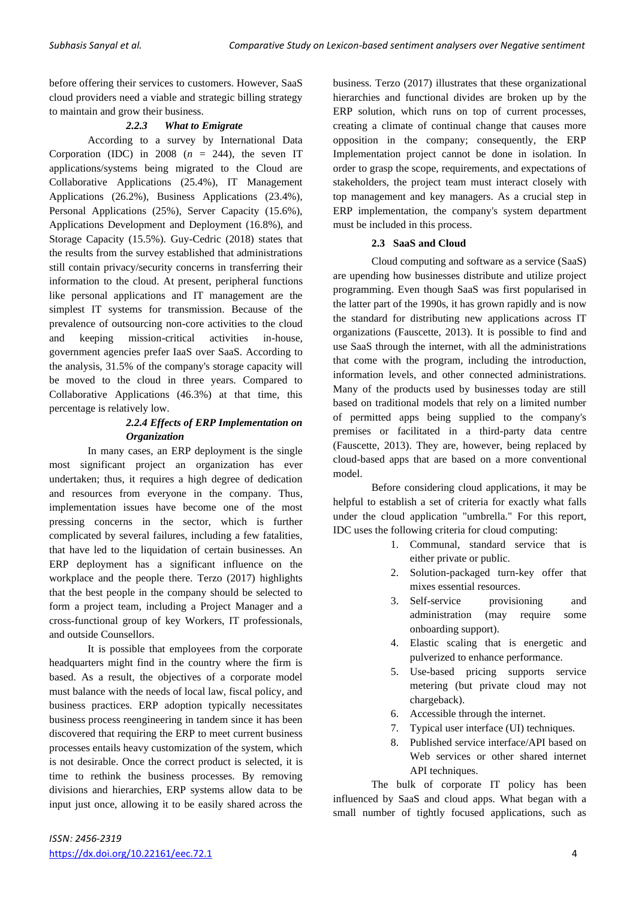before offering their services to customers. However, SaaS cloud providers need a viable and strategic billing strategy to maintain and grow their business.

## *2.2.3 What to Emigrate*

According to a survey by International Data Corporation (IDC) in 2008  $(n = 244)$ , the seven IT applications/systems being migrated to the Cloud are Collaborative Applications (25.4%), IT Management Applications (26.2%), Business Applications (23.4%), Personal Applications (25%), Server Capacity (15.6%), Applications Development and Deployment (16.8%), and Storage Capacity (15.5%). Guy-Cedric (2018) states that the results from the survey established that administrations still contain privacy/security concerns in transferring their information to the cloud. At present, peripheral functions like personal applications and IT management are the simplest IT systems for transmission. Because of the prevalence of outsourcing non-core activities to the cloud and keeping mission-critical activities in-house, government agencies prefer IaaS over SaaS. According to the analysis, 31.5% of the company's storage capacity will be moved to the cloud in three years. Compared to Collaborative Applications (46.3%) at that time, this percentage is relatively low.

## *2.2.4 Effects of ERP Implementation on Organization*

In many cases, an ERP deployment is the single most significant project an organization has ever undertaken; thus, it requires a high degree of dedication and resources from everyone in the company. Thus, implementation issues have become one of the most pressing concerns in the sector, which is further complicated by several failures, including a few fatalities, that have led to the liquidation of certain businesses. An ERP deployment has a significant influence on the workplace and the people there. Terzo (2017) highlights that the best people in the company should be selected to form a project team, including a Project Manager and a cross-functional group of key Workers, IT professionals, and outside Counsellors.

It is possible that employees from the corporate headquarters might find in the country where the firm is based. As a result, the objectives of a corporate model must balance with the needs of local law, fiscal policy, and business practices. ERP adoption typically necessitates business process reengineering in tandem since it has been discovered that requiring the ERP to meet current business processes entails heavy customization of the system, which is not desirable. Once the correct product is selected, it is time to rethink the business processes. By removing divisions and hierarchies, ERP systems allow data to be input just once, allowing it to be easily shared across the business. Terzo (2017) illustrates that these organizational hierarchies and functional divides are broken up by the ERP solution, which runs on top of current processes, creating a climate of continual change that causes more opposition in the company; consequently, the ERP Implementation project cannot be done in isolation. In order to grasp the scope, requirements, and expectations of stakeholders, the project team must interact closely with top management and key managers. As a crucial step in ERP implementation, the company's system department must be included in this process.

## **2.3 SaaS and Cloud**

Cloud computing and software as a service (SaaS) are upending how businesses distribute and utilize project programming. Even though SaaS was first popularised in the latter part of the 1990s, it has grown rapidly and is now the standard for distributing new applications across IT organizations (Fauscette, 2013). It is possible to find and use SaaS through the internet, with all the administrations that come with the program, including the introduction, information levels, and other connected administrations. Many of the products used by businesses today are still based on traditional models that rely on a limited number of permitted apps being supplied to the company's premises or facilitated in a third-party data centre (Fauscette, 2013). They are, however, being replaced by cloud-based apps that are based on a more conventional model.

Before considering cloud applications, it may be helpful to establish a set of criteria for exactly what falls under the cloud application "umbrella." For this report, IDC uses the following criteria for cloud computing:

- 1. Communal, standard service that is either private or public.
- 2. Solution-packaged turn-key offer that mixes essential resources.
- 3. Self-service provisioning and administration (may require some onboarding support).
- 4. Elastic scaling that is energetic and pulverized to enhance performance.
- 5. Use-based pricing supports service metering (but private cloud may not chargeback).
- 6. Accessible through the internet.
- 7. Typical user interface (UI) techniques.
- 8. Published service interface/API based on Web services or other shared internet API techniques.

The bulk of corporate IT policy has been influenced by SaaS and cloud apps. What began with a small number of tightly focused applications, such as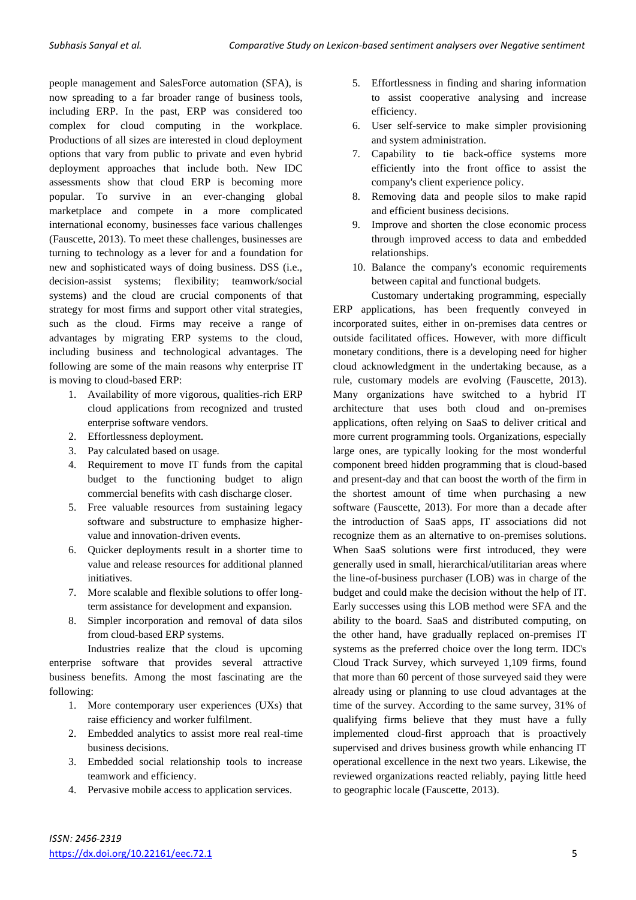people management and SalesForce automation (SFA), is now spreading to a far broader range of business tools, including ERP. In the past, ERP was considered too complex for cloud computing in the workplace. Productions of all sizes are interested in cloud deployment options that vary from public to private and even hybrid deployment approaches that include both. New IDC assessments show that cloud ERP is becoming more popular. To survive in an ever-changing global marketplace and compete in a more complicated international economy, businesses face various challenges (Fauscette, 2013). To meet these challenges, businesses are turning to technology as a lever for and a foundation for new and sophisticated ways of doing business. DSS (i.e., decision-assist systems; flexibility; teamwork/social systems) and the cloud are crucial components of that strategy for most firms and support other vital strategies, such as the cloud. Firms may receive a range of advantages by migrating ERP systems to the cloud, including business and technological advantages. The following are some of the main reasons why enterprise IT is moving to cloud-based ERP:

- 1. Availability of more vigorous, qualities-rich ERP cloud applications from recognized and trusted enterprise software vendors.
- 2. Effortlessness deployment.
- 3. Pay calculated based on usage.
- 4. Requirement to move IT funds from the capital budget to the functioning budget to align commercial benefits with cash discharge closer.
- 5. Free valuable resources from sustaining legacy software and substructure to emphasize highervalue and innovation-driven events.
- 6. Quicker deployments result in a shorter time to value and release resources for additional planned initiatives.
- 7. More scalable and flexible solutions to offer longterm assistance for development and expansion.
- 8. Simpler incorporation and removal of data silos from cloud-based ERP systems.

Industries realize that the cloud is upcoming enterprise software that provides several attractive business benefits. Among the most fascinating are the following:

- 1. More contemporary user experiences (UXs) that raise efficiency and worker fulfilment.
- 2. Embedded analytics to assist more real real-time business decisions.
- 3. Embedded social relationship tools to increase teamwork and efficiency.
- 4. Pervasive mobile access to application services.
- 5. Effortlessness in finding and sharing information to assist cooperative analysing and increase efficiency.
- 6. User self-service to make simpler provisioning and system administration.
- 7. Capability to tie back-office systems more efficiently into the front office to assist the company's client experience policy.
- 8. Removing data and people silos to make rapid and efficient business decisions.
- 9. Improve and shorten the close economic process through improved access to data and embedded relationships.
- 10. Balance the company's economic requirements between capital and functional budgets.

Customary undertaking programming, especially ERP applications, has been frequently conveyed in incorporated suites, either in on-premises data centres or outside facilitated offices. However, with more difficult monetary conditions, there is a developing need for higher cloud acknowledgment in the undertaking because, as a rule, customary models are evolving (Fauscette, 2013). Many organizations have switched to a hybrid IT architecture that uses both cloud and on-premises applications, often relying on SaaS to deliver critical and more current programming tools. Organizations, especially large ones, are typically looking for the most wonderful component breed hidden programming that is cloud-based and present-day and that can boost the worth of the firm in the shortest amount of time when purchasing a new software (Fauscette, 2013). For more than a decade after the introduction of SaaS apps, IT associations did not recognize them as an alternative to on-premises solutions. When SaaS solutions were first introduced, they were generally used in small, hierarchical/utilitarian areas where the line-of-business purchaser (LOB) was in charge of the budget and could make the decision without the help of IT. Early successes using this LOB method were SFA and the ability to the board. SaaS and distributed computing, on the other hand, have gradually replaced on-premises IT systems as the preferred choice over the long term. IDC's Cloud Track Survey, which surveyed 1,109 firms, found that more than 60 percent of those surveyed said they were already using or planning to use cloud advantages at the time of the survey. According to the same survey, 31% of qualifying firms believe that they must have a fully implemented cloud-first approach that is proactively supervised and drives business growth while enhancing IT operational excellence in the next two years. Likewise, the reviewed organizations reacted reliably, paying little heed to geographic locale (Fauscette, 2013).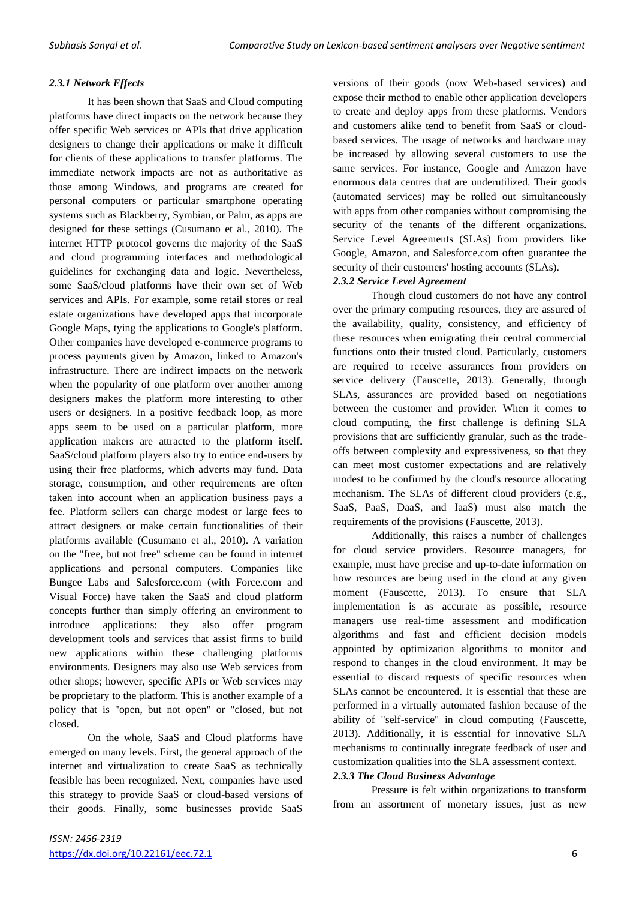## *2.3.1 Network Effects*

It has been shown that SaaS and Cloud computing platforms have direct impacts on the network because they offer specific Web services or APIs that drive application designers to change their applications or make it difficult for clients of these applications to transfer platforms. The immediate network impacts are not as authoritative as those among Windows, and programs are created for personal computers or particular smartphone operating systems such as Blackberry, Symbian, or Palm, as apps are designed for these settings (Cusumano et al., 2010). The internet HTTP protocol governs the majority of the SaaS and cloud programming interfaces and methodological guidelines for exchanging data and logic. Nevertheless, some SaaS/cloud platforms have their own set of Web services and APIs. For example, some retail stores or real estate organizations have developed apps that incorporate Google Maps, tying the applications to Google's platform. Other companies have developed e-commerce programs to process payments given by Amazon, linked to Amazon's infrastructure. There are indirect impacts on the network when the popularity of one platform over another among designers makes the platform more interesting to other users or designers. In a positive feedback loop, as more apps seem to be used on a particular platform, more application makers are attracted to the platform itself. SaaS/cloud platform players also try to entice end-users by using their free platforms, which adverts may fund. Data storage, consumption, and other requirements are often taken into account when an application business pays a fee. Platform sellers can charge modest or large fees to attract designers or make certain functionalities of their platforms available (Cusumano et al., 2010). A variation on the "free, but not free" scheme can be found in internet applications and personal computers. Companies like Bungee Labs and Salesforce.com (with Force.com and Visual Force) have taken the SaaS and cloud platform concepts further than simply offering an environment to introduce applications: they also offer program development tools and services that assist firms to build new applications within these challenging platforms environments. Designers may also use Web services from other shops; however, specific APIs or Web services may be proprietary to the platform. This is another example of a policy that is "open, but not open" or "closed, but not closed.

On the whole, SaaS and Cloud platforms have emerged on many levels. First, the general approach of the internet and virtualization to create SaaS as technically feasible has been recognized. Next, companies have used this strategy to provide SaaS or cloud-based versions of their goods. Finally, some businesses provide SaaS

versions of their goods (now Web-based services) and expose their method to enable other application developers to create and deploy apps from these platforms. Vendors and customers alike tend to benefit from SaaS or cloudbased services. The usage of networks and hardware may be increased by allowing several customers to use the same services. For instance, Google and Amazon have enormous data centres that are underutilized. Their goods (automated services) may be rolled out simultaneously with apps from other companies without compromising the security of the tenants of the different organizations. Service Level Agreements (SLAs) from providers like Google, Amazon, and Salesforce.com often guarantee the security of their customers' hosting accounts (SLAs).

## *2.3.2 Service Level Agreement*

Though cloud customers do not have any control over the primary computing resources, they are assured of the availability, quality, consistency, and efficiency of these resources when emigrating their central commercial functions onto their trusted cloud. Particularly, customers are required to receive assurances from providers on service delivery (Fauscette, 2013). Generally, through SLAs, assurances are provided based on negotiations between the customer and provider. When it comes to cloud computing, the first challenge is defining SLA provisions that are sufficiently granular, such as the tradeoffs between complexity and expressiveness, so that they can meet most customer expectations and are relatively modest to be confirmed by the cloud's resource allocating mechanism. The SLAs of different cloud providers (e.g., SaaS, PaaS, DaaS, and IaaS) must also match the requirements of the provisions (Fauscette, 2013).

Additionally, this raises a number of challenges for cloud service providers. Resource managers, for example, must have precise and up-to-date information on how resources are being used in the cloud at any given moment (Fauscette, 2013). To ensure that SLA implementation is as accurate as possible, resource managers use real-time assessment and modification algorithms and fast and efficient decision models appointed by optimization algorithms to monitor and respond to changes in the cloud environment. It may be essential to discard requests of specific resources when SLAs cannot be encountered. It is essential that these are performed in a virtually automated fashion because of the ability of "self-service" in cloud computing (Fauscette, 2013). Additionally, it is essential for innovative SLA mechanisms to continually integrate feedback of user and customization qualities into the SLA assessment context.

## *2.3.3 The Cloud Business Advantage*

Pressure is felt within organizations to transform from an assortment of monetary issues, just as new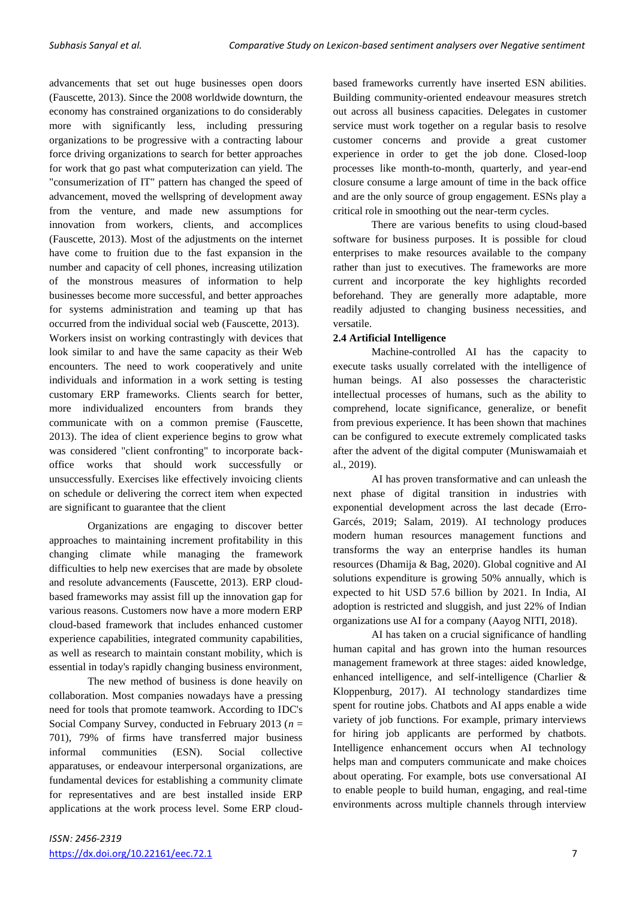advancements that set out huge businesses open doors (Fauscette, 2013). Since the 2008 worldwide downturn, the economy has constrained organizations to do considerably more with significantly less, including pressuring organizations to be progressive with a contracting labour force driving organizations to search for better approaches for work that go past what computerization can yield. The "consumerization of IT" pattern has changed the speed of advancement, moved the wellspring of development away from the venture, and made new assumptions for innovation from workers, clients, and accomplices (Fauscette, 2013). Most of the adjustments on the internet have come to fruition due to the fast expansion in the number and capacity of cell phones, increasing utilization of the monstrous measures of information to help businesses become more successful, and better approaches for systems administration and teaming up that has occurred from the individual social web (Fauscette, 2013). Workers insist on working contrastingly with devices that look similar to and have the same capacity as their Web encounters. The need to work cooperatively and unite individuals and information in a work setting is testing customary ERP frameworks. Clients search for better, more individualized encounters from brands they communicate with on a common premise (Fauscette, 2013). The idea of client experience begins to grow what was considered "client confronting" to incorporate backoffice works that should work successfully or unsuccessfully. Exercises like effectively invoicing clients on schedule or delivering the correct item when expected are significant to guarantee that the client

Organizations are engaging to discover better approaches to maintaining increment profitability in this changing climate while managing the framework difficulties to help new exercises that are made by obsolete and resolute advancements (Fauscette, 2013). ERP cloudbased frameworks may assist fill up the innovation gap for various reasons. Customers now have a more modern ERP cloud-based framework that includes enhanced customer experience capabilities, integrated community capabilities, as well as research to maintain constant mobility, which is essential in today's rapidly changing business environment,

The new method of business is done heavily on collaboration. Most companies nowadays have a pressing need for tools that promote teamwork. According to IDC's Social Company Survey, conducted in February 2013 (*n* = 701), 79% of firms have transferred major business informal communities (ESN). Social collective apparatuses, or endeavour interpersonal organizations, are fundamental devices for establishing a community climate for representatives and are best installed inside ERP applications at the work process level. Some ERP cloudbased frameworks currently have inserted ESN abilities. Building community-oriented endeavour measures stretch out across all business capacities. Delegates in customer service must work together on a regular basis to resolve customer concerns and provide a great customer experience in order to get the job done. Closed-loop processes like month-to-month, quarterly, and year-end closure consume a large amount of time in the back office and are the only source of group engagement. ESNs play a critical role in smoothing out the near-term cycles.

There are various benefits to using cloud-based software for business purposes. It is possible for cloud enterprises to make resources available to the company rather than just to executives. The frameworks are more current and incorporate the key highlights recorded beforehand. They are generally more adaptable, more readily adjusted to changing business necessities, and versatile.

## **2.4 Artificial Intelligence**

Machine-controlled AI has the capacity to execute tasks usually correlated with the intelligence of human beings. AI also possesses the characteristic intellectual processes of humans, such as the ability to comprehend, locate significance, generalize, or benefit from previous experience. It has been shown that machines can be configured to execute extremely complicated tasks after the advent of the digital computer (Muniswamaiah et al., 2019).

AI has proven transformative and can unleash the next phase of digital transition in industries with exponential development across the last decade (Erro-Garcés, 2019; Salam, 2019). AI technology produces modern human resources management functions and transforms the way an enterprise handles its human resources (Dhamija & Bag, 2020). Global cognitive and AI solutions expenditure is growing 50% annually, which is expected to hit USD 57.6 billion by 2021. In India, AI adoption is restricted and sluggish, and just 22% of Indian organizations use AI for a company (Aayog NITI, 2018).

AI has taken on a crucial significance of handling human capital and has grown into the human resources management framework at three stages: aided knowledge, enhanced intelligence, and self-intelligence (Charlier & Kloppenburg, 2017). AI technology standardizes time spent for routine jobs. Chatbots and AI apps enable a wide variety of job functions. For example, primary interviews for hiring job applicants are performed by chatbots. Intelligence enhancement occurs when AI technology helps man and computers communicate and make choices about operating. For example, bots use conversational AI to enable people to build human, engaging, and real-time environments across multiple channels through interview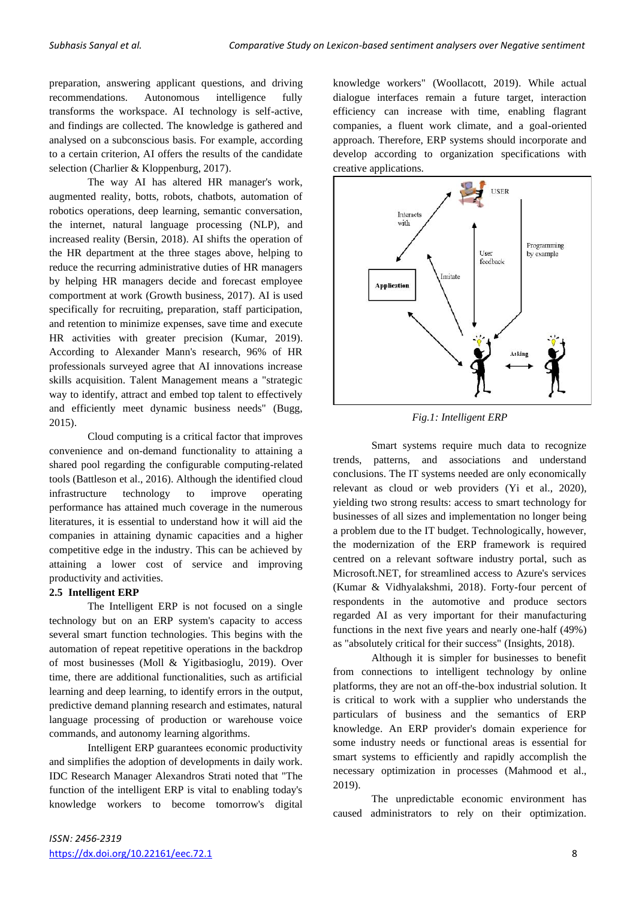preparation, answering applicant questions, and driving recommendations. Autonomous intelligence fully transforms the workspace. AI technology is self-active, and findings are collected. The knowledge is gathered and analysed on a subconscious basis. For example, according to a certain criterion, AI offers the results of the candidate selection (Charlier & Kloppenburg, 2017).

The way AI has altered HR manager's work, augmented reality, botts, robots, chatbots, automation of robotics operations, deep learning, semantic conversation, the internet, natural language processing (NLP), and increased reality (Bersin, 2018). AI shifts the operation of the HR department at the three stages above, helping to reduce the recurring administrative duties of HR managers by helping HR managers decide and forecast employee comportment at work (Growth business, 2017). AI is used specifically for recruiting, preparation, staff participation, and retention to minimize expenses, save time and execute HR activities with greater precision (Kumar, 2019). According to Alexander Mann's research, 96% of HR professionals surveyed agree that AI innovations increase skills acquisition. Talent Management means a "strategic way to identify, attract and embed top talent to effectively and efficiently meet dynamic business needs" (Bugg, 2015).

Cloud computing is a critical factor that improves convenience and on-demand functionality to attaining a shared pool regarding the configurable computing-related tools (Battleson et al., 2016). Although the identified cloud infrastructure technology to improve operating performance has attained much coverage in the numerous literatures, it is essential to understand how it will aid the companies in attaining dynamic capacities and a higher competitive edge in the industry. This can be achieved by attaining a lower cost of service and improving productivity and activities.

## **2.5 Intelligent ERP**

The Intelligent ERP is not focused on a single technology but on an ERP system's capacity to access several smart function technologies. This begins with the automation of repeat repetitive operations in the backdrop of most businesses (Moll & Yigitbasioglu, 2019). Over time, there are additional functionalities, such as artificial learning and deep learning, to identify errors in the output, predictive demand planning research and estimates, natural language processing of production or warehouse voice commands, and autonomy learning algorithms.

Intelligent ERP guarantees economic productivity and simplifies the adoption of developments in daily work. IDC Research Manager Alexandros Strati noted that "The function of the intelligent ERP is vital to enabling today's knowledge workers to become tomorrow's digital knowledge workers" (Woollacott, 2019). While actual dialogue interfaces remain a future target, interaction efficiency can increase with time, enabling flagrant companies, a fluent work climate, and a goal-oriented approach. Therefore, ERP systems should incorporate and develop according to organization specifications with creative applications.



*Fig.1: Intelligent ERP*

Smart systems require much data to recognize trends, patterns, and associations and understand conclusions. The IT systems needed are only economically relevant as cloud or web providers (Yi et al., 2020), yielding two strong results: access to smart technology for businesses of all sizes and implementation no longer being a problem due to the IT budget. Technologically, however, the modernization of the ERP framework is required centred on a relevant software industry portal, such as Microsoft.NET, for streamlined access to Azure's services (Kumar & Vidhyalakshmi, 2018). Forty-four percent of respondents in the automotive and produce sectors regarded AI as very important for their manufacturing functions in the next five years and nearly one-half (49%) as "absolutely critical for their success" (Insights, 2018).

Although it is simpler for businesses to benefit from connections to intelligent technology by online platforms, they are not an off-the-box industrial solution. It is critical to work with a supplier who understands the particulars of business and the semantics of ERP knowledge. An ERP provider's domain experience for some industry needs or functional areas is essential for smart systems to efficiently and rapidly accomplish the necessary optimization in processes (Mahmood et al., 2019).

The unpredictable economic environment has caused administrators to rely on their optimization.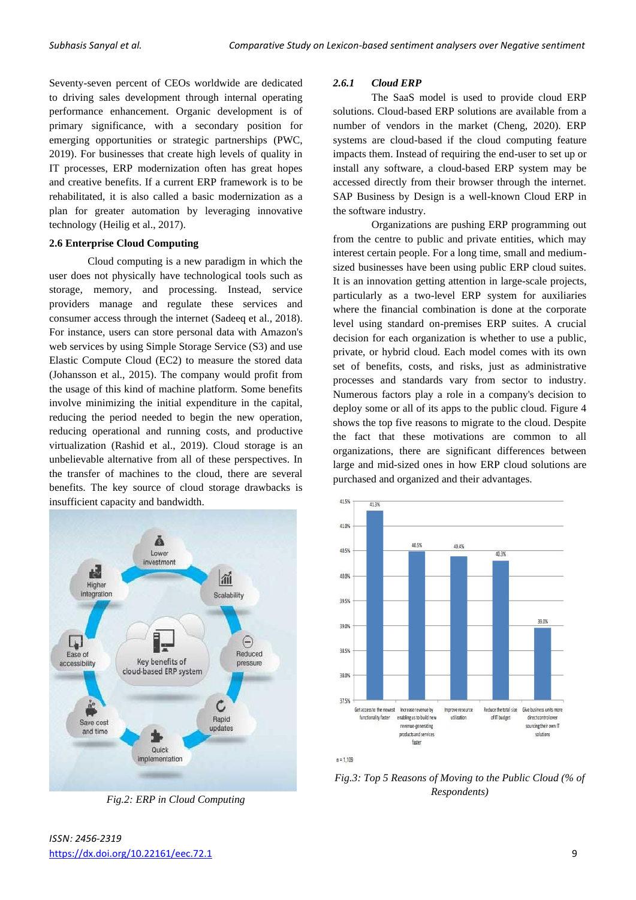Seventy-seven percent of CEOs worldwide are dedicated to driving sales development through internal operating performance enhancement. Organic development is of primary significance, with a secondary position for emerging opportunities or strategic partnerships (PWC, 2019). For businesses that create high levels of quality in IT processes, ERP modernization often has great hopes and creative benefits. If a current ERP framework is to be rehabilitated, it is also called a basic modernization as a plan for greater automation by leveraging innovative technology (Heilig et al., 2017).

#### **2.6 Enterprise Cloud Computing**

Cloud computing is a new paradigm in which the user does not physically have technological tools such as storage, memory, and processing. Instead, service providers manage and regulate these services and consumer access through the internet (Sadeeq et al., 2018). For instance, users can store personal data with Amazon's web services by using Simple Storage Service (S3) and use Elastic Compute Cloud (EC2) to measure the stored data (Johansson et al., 2015). The company would profit from the usage of this kind of machine platform. Some benefits involve minimizing the initial expenditure in the capital, reducing the period needed to begin the new operation, reducing operational and running costs, and productive virtualization (Rashid et al., 2019). Cloud storage is an unbelievable alternative from all of these perspectives. In the transfer of machines to the cloud, there are several benefits. The key source of cloud storage drawbacks is insufficient capacity and bandwidth.



*Fig.2: ERP in Cloud Computing*

The SaaS model is used to provide cloud ERP solutions. Cloud-based ERP solutions are available from a number of vendors in the market (Cheng, 2020). ERP systems are cloud-based if the cloud computing feature impacts them. Instead of requiring the end-user to set up or install any software, a cloud-based ERP system may be accessed directly from their browser through the internet. SAP Business by Design is a well-known Cloud ERP in the software industry.

Organizations are pushing ERP programming out from the centre to public and private entities, which may interest certain people. For a long time, small and mediumsized businesses have been using public ERP cloud suites. It is an innovation getting attention in large-scale projects, particularly as a two-level ERP system for auxiliaries where the financial combination is done at the corporate level using standard on-premises ERP suites. A crucial decision for each organization is whether to use a public, private, or hybrid cloud. Each model comes with its own set of benefits, costs, and risks, just as administrative processes and standards vary from sector to industry. Numerous factors play a role in a company's decision to deploy some or all of its apps to the public cloud. Figure 4 shows the top five reasons to migrate to the cloud. Despite the fact that these motivations are common to all organizations, there are significant differences between large and mid-sized ones in how ERP cloud solutions are purchased and organized and their advantages.



 $n = 1109$ 

*Fig.3: Top 5 Reasons of Moving to the Public Cloud (% of Respondents)*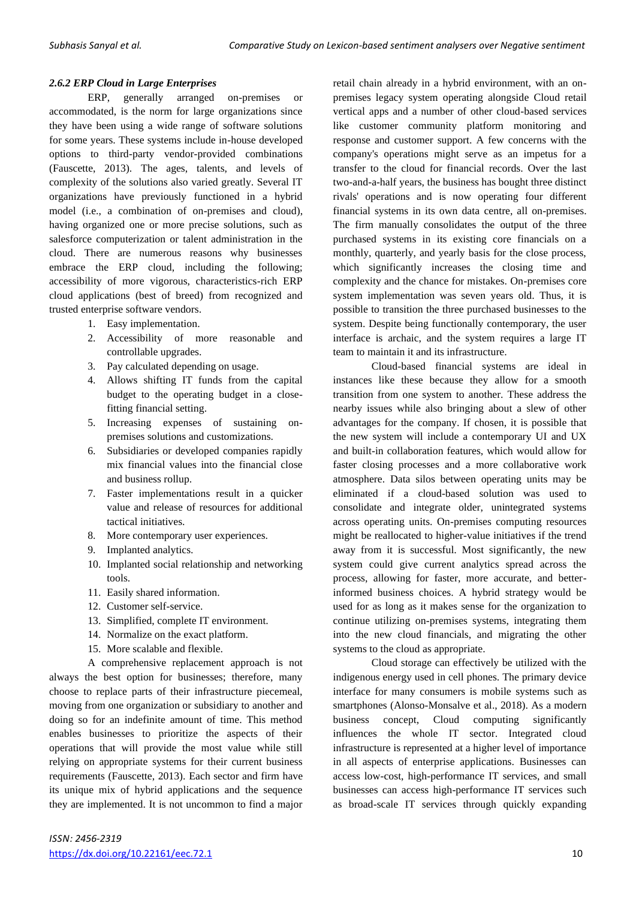## *2.6.2 ERP Cloud in Large Enterprises*

ERP, generally arranged on-premises or accommodated, is the norm for large organizations since they have been using a wide range of software solutions for some years. These systems include in-house developed options to third-party vendor-provided combinations (Fauscette, 2013). The ages, talents, and levels of complexity of the solutions also varied greatly. Several IT organizations have previously functioned in a hybrid model (i.e., a combination of on-premises and cloud), having organized one or more precise solutions, such as salesforce computerization or talent administration in the cloud. There are numerous reasons why businesses embrace the ERP cloud, including the following; accessibility of more vigorous, characteristics-rich ERP cloud applications (best of breed) from recognized and trusted enterprise software vendors.

- 1. Easy implementation.
- 2. Accessibility of more reasonable and controllable upgrades.
- 3. Pay calculated depending on usage.
- 4. Allows shifting IT funds from the capital budget to the operating budget in a closefitting financial setting.
- 5. Increasing expenses of sustaining onpremises solutions and customizations.
- 6. Subsidiaries or developed companies rapidly mix financial values into the financial close and business rollup.
- 7. Faster implementations result in a quicker value and release of resources for additional tactical initiatives.
- 8. More contemporary user experiences.
- 9. Implanted analytics.
- 10. Implanted social relationship and networking tools.
- 11. Easily shared information.
- 12. Customer self-service.
- 13. Simplified, complete IT environment.
- 14. Normalize on the exact platform.
- 15. More scalable and flexible.

A comprehensive replacement approach is not always the best option for businesses; therefore, many choose to replace parts of their infrastructure piecemeal, moving from one organization or subsidiary to another and doing so for an indefinite amount of time. This method enables businesses to prioritize the aspects of their operations that will provide the most value while still relying on appropriate systems for their current business requirements (Fauscette, 2013). Each sector and firm have its unique mix of hybrid applications and the sequence they are implemented. It is not uncommon to find a major retail chain already in a hybrid environment, with an onpremises legacy system operating alongside Cloud retail vertical apps and a number of other cloud-based services like customer community platform monitoring and response and customer support. A few concerns with the company's operations might serve as an impetus for a transfer to the cloud for financial records. Over the last two-and-a-half years, the business has bought three distinct rivals' operations and is now operating four different financial systems in its own data centre, all on-premises. The firm manually consolidates the output of the three purchased systems in its existing core financials on a monthly, quarterly, and yearly basis for the close process, which significantly increases the closing time and complexity and the chance for mistakes. On-premises core system implementation was seven years old. Thus, it is possible to transition the three purchased businesses to the system. Despite being functionally contemporary, the user interface is archaic, and the system requires a large IT team to maintain it and its infrastructure.

Cloud-based financial systems are ideal in instances like these because they allow for a smooth transition from one system to another. These address the nearby issues while also bringing about a slew of other advantages for the company. If chosen, it is possible that the new system will include a contemporary UI and UX and built-in collaboration features, which would allow for faster closing processes and a more collaborative work atmosphere. Data silos between operating units may be eliminated if a cloud-based solution was used to consolidate and integrate older, unintegrated systems across operating units. On-premises computing resources might be reallocated to higher-value initiatives if the trend away from it is successful. Most significantly, the new system could give current analytics spread across the process, allowing for faster, more accurate, and betterinformed business choices. A hybrid strategy would be used for as long as it makes sense for the organization to continue utilizing on-premises systems, integrating them into the new cloud financials, and migrating the other systems to the cloud as appropriate.

Cloud storage can effectively be utilized with the indigenous energy used in cell phones. The primary device interface for many consumers is mobile systems such as smartphones (Alonso-Monsalve et al., 2018). As a modern business concept, Cloud computing significantly influences the whole IT sector. Integrated cloud infrastructure is represented at a higher level of importance in all aspects of enterprise applications. Businesses can access low-cost, high-performance IT services, and small businesses can access high-performance IT services such as broad-scale IT services through quickly expanding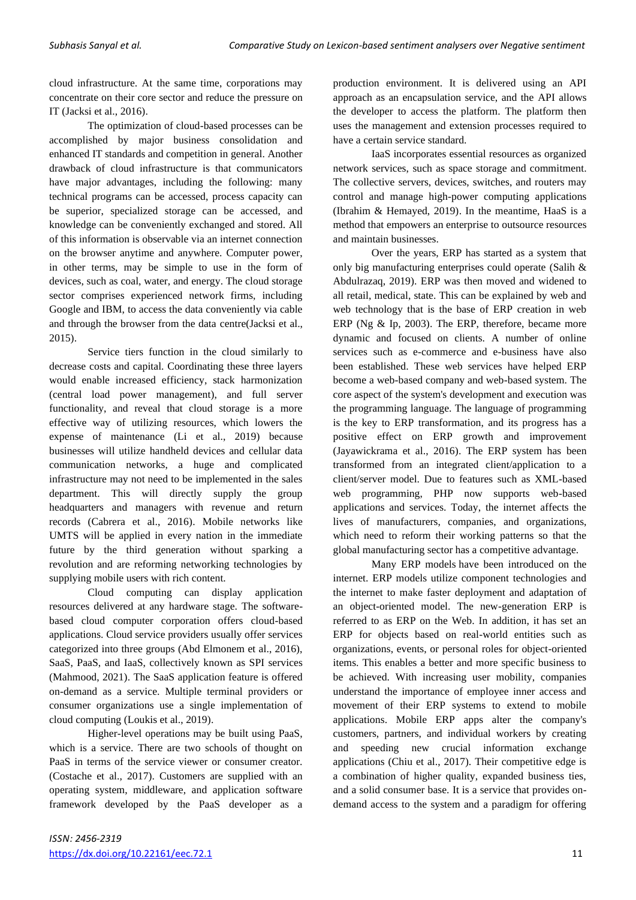cloud infrastructure. At the same time, corporations may concentrate on their core sector and reduce the pressure on IT (Jacksi et al., 2016).

The optimization of cloud-based processes can be accomplished by major business consolidation and enhanced IT standards and competition in general. Another drawback of cloud infrastructure is that communicators have major advantages, including the following: many technical programs can be accessed, process capacity can be superior, specialized storage can be accessed, and knowledge can be conveniently exchanged and stored. All of this information is observable via an internet connection on the browser anytime and anywhere. Computer power, in other terms, may be simple to use in the form of devices, such as coal, water, and energy. The cloud storage sector comprises experienced network firms, including Google and IBM, to access the data conveniently via cable and through the browser from the data centre(Jacksi et al., 2015).

Service tiers function in the cloud similarly to decrease costs and capital. Coordinating these three layers would enable increased efficiency, stack harmonization (central load power management), and full server functionality, and reveal that cloud storage is a more effective way of utilizing resources, which lowers the expense of maintenance (Li et al., 2019) because businesses will utilize handheld devices and cellular data communication networks, a huge and complicated infrastructure may not need to be implemented in the sales department. This will directly supply the group headquarters and managers with revenue and return records (Cabrera et al., 2016). Mobile networks like UMTS will be applied in every nation in the immediate future by the third generation without sparking a revolution and are reforming networking technologies by supplying mobile users with rich content.

Cloud computing can display application resources delivered at any hardware stage. The softwarebased cloud computer corporation offers cloud-based applications. Cloud service providers usually offer services categorized into three groups (Abd Elmonem et al., 2016), SaaS, PaaS, and IaaS, collectively known as SPI services (Mahmood, 2021). The SaaS application feature is offered on-demand as a service. Multiple terminal providers or consumer organizations use a single implementation of cloud computing (Loukis et al., 2019).

Higher-level operations may be built using PaaS, which is a service. There are two schools of thought on PaaS in terms of the service viewer or consumer creator. (Costache et al., 2017). Customers are supplied with an operating system, middleware, and application software framework developed by the PaaS developer as a production environment. It is delivered using an API approach as an encapsulation service, and the API allows the developer to access the platform. The platform then uses the management and extension processes required to have a certain service standard.

IaaS incorporates essential resources as organized network services, such as space storage and commitment. The collective servers, devices, switches, and routers may control and manage high-power computing applications (Ibrahim & Hemayed, 2019). In the meantime, HaaS is a method that empowers an enterprise to outsource resources and maintain businesses.

Over the years, ERP has started as a system that only big manufacturing enterprises could operate (Salih & Abdulrazaq, 2019). ERP was then moved and widened to all retail, medical, state. This can be explained by web and web technology that is the base of ERP creation in web ERP (Ng & Ip, 2003). The ERP, therefore, became more dynamic and focused on clients. A number of online services such as e-commerce and e-business have also been established. These web services have helped ERP become a web-based company and web-based system. The core aspect of the system's development and execution was the programming language. The language of programming is the key to ERP transformation, and its progress has a positive effect on ERP growth and improvement (Jayawickrama et al., 2016). The ERP system has been transformed from an integrated client/application to a client/server model. Due to features such as XML-based web programming, PHP now supports web-based applications and services. Today, the internet affects the lives of manufacturers, companies, and organizations, which need to reform their working patterns so that the global manufacturing sector has a competitive advantage.

Many ERP models have been introduced on the internet. ERP models utilize component technologies and the internet to make faster deployment and adaptation of an object-oriented model. The new-generation ERP is referred to as ERP on the Web. In addition, it has set an ERP for objects based on real-world entities such as organizations, events, or personal roles for object-oriented items. This enables a better and more specific business to be achieved. With increasing user mobility, companies understand the importance of employee inner access and movement of their ERP systems to extend to mobile applications. Mobile ERP apps alter the company's customers, partners, and individual workers by creating and speeding new crucial information exchange applications (Chiu et al., 2017). Their competitive edge is a combination of higher quality, expanded business ties, and a solid consumer base. It is a service that provides ondemand access to the system and a paradigm for offering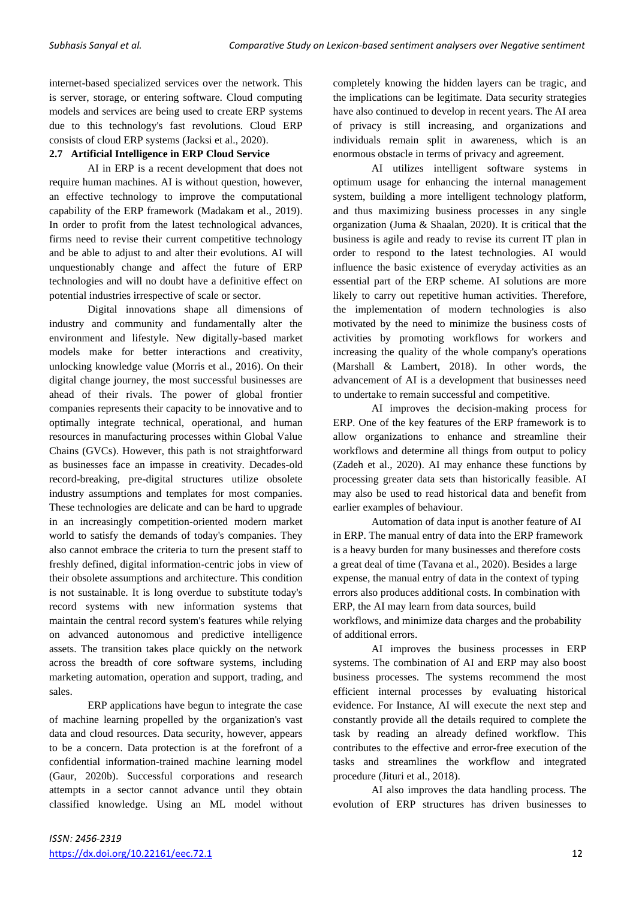internet-based specialized services over the network. This is server, storage, or entering software. Cloud computing models and services are being used to create ERP systems due to this technology's fast revolutions. Cloud ERP consists of cloud ERP systems (Jacksi et al., 2020).

## **2.7 Artificial Intelligence in ERP Cloud Service**

AI in ERP is a recent development that does not require human machines. AI is without question, however, an effective technology to improve the computational capability of the ERP framework (Madakam et al., 2019). In order to profit from the latest technological advances, firms need to revise their current competitive technology and be able to adjust to and alter their evolutions. AI will unquestionably change and affect the future of ERP technologies and will no doubt have a definitive effect on potential industries irrespective of scale or sector.

Digital innovations shape all dimensions of industry and community and fundamentally alter the environment and lifestyle. New digitally-based market models make for better interactions and creativity, unlocking knowledge value (Morris et al., 2016). On their digital change journey, the most successful businesses are ahead of their rivals. The power of global frontier companies represents their capacity to be innovative and to optimally integrate technical, operational, and human resources in manufacturing processes within Global Value Chains (GVCs). However, this path is not straightforward as businesses face an impasse in creativity. Decades-old record-breaking, pre-digital structures utilize obsolete industry assumptions and templates for most companies. These technologies are delicate and can be hard to upgrade in an increasingly competition-oriented modern market world to satisfy the demands of today's companies. They also cannot embrace the criteria to turn the present staff to freshly defined, digital information-centric jobs in view of their obsolete assumptions and architecture. This condition is not sustainable. It is long overdue to substitute today's record systems with new information systems that maintain the central record system's features while relying on advanced autonomous and predictive intelligence assets. The transition takes place quickly on the network across the breadth of core software systems, including marketing automation, operation and support, trading, and sales.

ERP applications have begun to integrate the case of machine learning propelled by the organization's vast data and cloud resources. Data security, however, appears to be a concern. Data protection is at the forefront of a confidential information-trained machine learning model (Gaur, 2020b). Successful corporations and research attempts in a sector cannot advance until they obtain classified knowledge. Using an ML model without completely knowing the hidden layers can be tragic, and the implications can be legitimate. Data security strategies have also continued to develop in recent years. The AI area of privacy is still increasing, and organizations and individuals remain split in awareness, which is an enormous obstacle in terms of privacy and agreement.

AI utilizes intelligent software systems in optimum usage for enhancing the internal management system, building a more intelligent technology platform, and thus maximizing business processes in any single organization (Juma & Shaalan, 2020). It is critical that the business is agile and ready to revise its current IT plan in order to respond to the latest technologies. AI would influence the basic existence of everyday activities as an essential part of the ERP scheme. AI solutions are more likely to carry out repetitive human activities. Therefore, the implementation of modern technologies is also motivated by the need to minimize the business costs of activities by promoting workflows for workers and increasing the quality of the whole company's operations (Marshall & Lambert, 2018). In other words, the advancement of AI is a development that businesses need to undertake to remain successful and competitive.

AI improves the decision-making process for ERP. One of the key features of the ERP framework is to allow organizations to enhance and streamline their workflows and determine all things from output to policy (Zadeh et al., 2020). AI may enhance these functions by processing greater data sets than historically feasible. AI may also be used to read historical data and benefit from earlier examples of behaviour.

Automation of data input is another feature of AI in ERP. The manual entry of data into the ERP framework is a heavy burden for many businesses and therefore costs a great deal of time (Tavana et al., 2020). Besides a large expense, the manual entry of data in the context of typing errors also produces additional costs. In combination with ERP, the AI may learn from data sources, build workflows, and minimize data charges and the probability of additional errors.

AI improves the business processes in ERP systems. The combination of AI and ERP may also boost business processes. The systems recommend the most efficient internal processes by evaluating historical evidence. For Instance, AI will execute the next step and constantly provide all the details required to complete the task by reading an already defined workflow. This contributes to the effective and error-free execution of the tasks and streamlines the workflow and integrated procedure (Jituri et al., 2018).

AI also improves the data handling process. The evolution of ERP structures has driven businesses to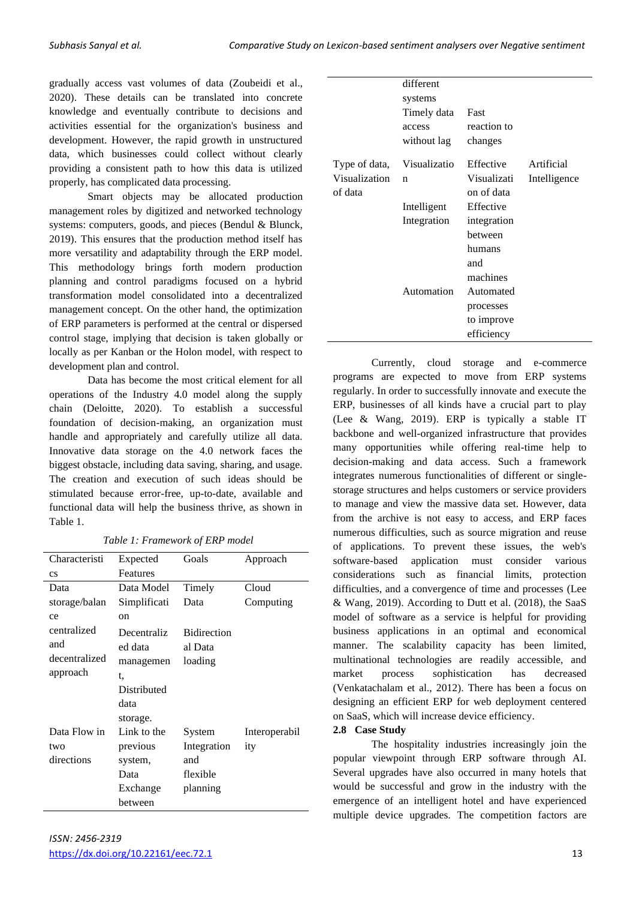gradually access vast volumes of data (Zoubeidi et al., 2020). These details can be translated into concrete knowledge and eventually contribute to decisions and activities essential for the organization's business and development. However, the rapid growth in unstructured data, which businesses could collect without clearly providing a consistent path to how this data is utilized properly, has complicated data processing.

Smart objects may be allocated production management roles by digitized and networked technology systems: computers, goods, and pieces (Bendul & Blunck, 2019). This ensures that the production method itself has more versatility and adaptability through the ERP model. This methodology brings forth modern production planning and control paradigms focused on a hybrid transformation model consolidated into a decentralized management concept. On the other hand, the optimization of ERP parameters is performed at the central or dispersed control stage, implying that decision is taken globally or locally as per Kanban or the Holon model, with respect to development plan and control.

Data has become the most critical element for all operations of the Industry 4.0 model along the supply chain (Deloitte, 2020). To establish a successful foundation of decision-making, an organization must handle and appropriately and carefully utilize all data. Innovative data storage on the 4.0 network faces the biggest obstacle, including data saving, sharing, and usage. The creation and execution of such ideas should be stimulated because error-free, up-to-date, available and functional data will help the business thrive, as shown in Table 1.

*Table 1: Framework of ERP model*

| Characteristi | Expected     | Goals              | Approach      |
|---------------|--------------|--------------------|---------------|
| <b>CS</b>     | Features     |                    |               |
| Data          | Data Model   | Timely             | Cloud         |
| storage/balan | Simplificati | Data               | Computing     |
| ce            | on           |                    |               |
| centralized   | Decentraliz  | <b>Bidirection</b> |               |
| and           | ed data      | al Data            |               |
| decentralized | managemen    | loading            |               |
| approach      | t,           |                    |               |
|               | Distributed  |                    |               |
|               | data         |                    |               |
|               | storage.     |                    |               |
| Data Flow in  | Link to the  | System             | Interoperabil |
| two           | previous     | Integration        | ity           |
| directions    | system,      | and                |               |
|               | Data         | flexible           |               |
|               | Exchange     | planning           |               |
|               | between      |                    |               |

|                                           | different<br>systems<br>Timely data<br>access<br>without lag | Fast<br>reaction to<br>changes                                 |                            |
|-------------------------------------------|--------------------------------------------------------------|----------------------------------------------------------------|----------------------------|
| Type of data,<br>Visualization<br>of data | Visualizatio<br>n                                            | Effective<br>Visualizati<br>on of data                         | Artificial<br>Intelligence |
|                                           | Intelligent<br>Integration                                   | Effective<br>integration<br>between<br>humans<br>and           |                            |
|                                           | Automation                                                   | machines<br>Automated<br>processes<br>to improve<br>efficiency |                            |

Currently, cloud storage and e-commerce programs are expected to move from ERP systems regularly. In order to successfully innovate and execute the ERP, businesses of all kinds have a crucial part to play (Lee & Wang, 2019). ERP is typically a stable IT backbone and well-organized infrastructure that provides many opportunities while offering real-time help to decision-making and data access. Such a framework integrates numerous functionalities of different or singlestorage structures and helps customers or service providers to manage and view the massive data set. However, data from the archive is not easy to access, and ERP faces numerous difficulties, such as source migration and reuse of applications. To prevent these issues, the web's software-based application must consider various considerations such as financial limits, protection difficulties, and a convergence of time and processes (Lee & Wang, 2019). According to Dutt et al. (2018), the SaaS model of software as a service is helpful for providing business applications in an optimal and economical manner. The scalability capacity has been limited, multinational technologies are readily accessible, and market process sophistication has decreased (Venkatachalam et al., 2012). There has been a focus on designing an efficient ERP for web deployment centered on SaaS, which will increase device efficiency.

## **2.8 Case Study**

The hospitality industries increasingly join the popular viewpoint through ERP software through AI. Several upgrades have also occurred in many hotels that would be successful and grow in the industry with the emergence of an intelligent hotel and have experienced multiple device upgrades. The competition factors are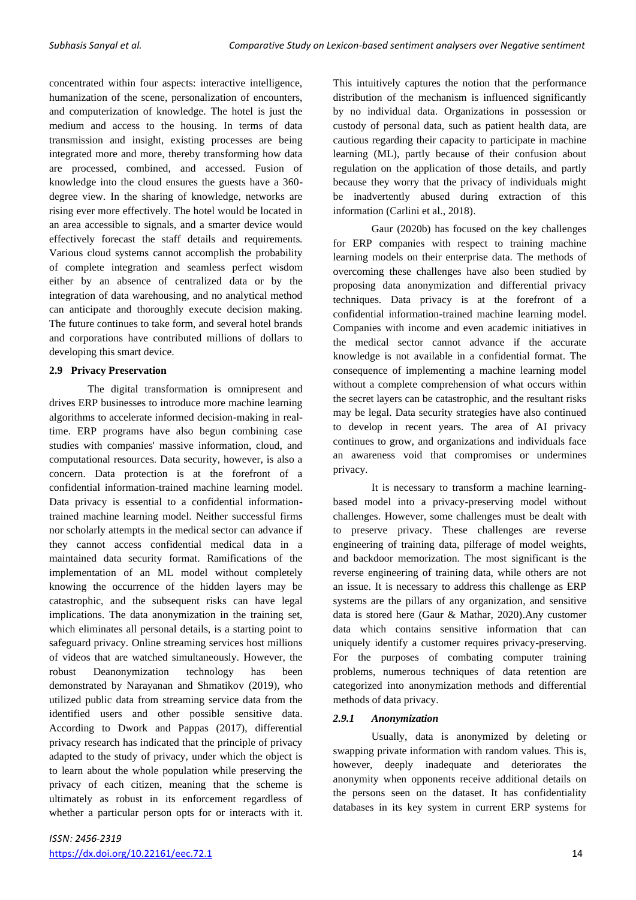concentrated within four aspects: interactive intelligence, humanization of the scene, personalization of encounters, and computerization of knowledge. The hotel is just the medium and access to the housing. In terms of data transmission and insight, existing processes are being integrated more and more, thereby transforming how data are processed, combined, and accessed. Fusion of knowledge into the cloud ensures the guests have a 360 degree view. In the sharing of knowledge, networks are rising ever more effectively. The hotel would be located in an area accessible to signals, and a smarter device would effectively forecast the staff details and requirements. Various cloud systems cannot accomplish the probability of complete integration and seamless perfect wisdom either by an absence of centralized data or by the integration of data warehousing, and no analytical method can anticipate and thoroughly execute decision making. The future continues to take form, and several hotel brands and corporations have contributed millions of dollars to developing this smart device.

## **2.9 Privacy Preservation**

The digital transformation is omnipresent and drives ERP businesses to introduce more machine learning algorithms to accelerate informed decision-making in realtime. ERP programs have also begun combining case studies with companies' massive information, cloud, and computational resources. Data security, however, is also a concern. Data protection is at the forefront of a confidential information-trained machine learning model. Data privacy is essential to a confidential informationtrained machine learning model. Neither successful firms nor scholarly attempts in the medical sector can advance if they cannot access confidential medical data in a maintained data security format. Ramifications of the implementation of an ML model without completely knowing the occurrence of the hidden layers may be catastrophic, and the subsequent risks can have legal implications. The data anonymization in the training set, which eliminates all personal details, is a starting point to safeguard privacy. Online streaming services host millions of videos that are watched simultaneously. However, the robust Deanonymization technology has been demonstrated by Narayanan and Shmatikov (2019), who utilized public data from streaming service data from the identified users and other possible sensitive data. According to Dwork and Pappas (2017), differential privacy research has indicated that the principle of privacy adapted to the study of privacy, under which the object is to learn about the whole population while preserving the privacy of each citizen, meaning that the scheme is ultimately as robust in its enforcement regardless of whether a particular person opts for or interacts with it. This intuitively captures the notion that the performance distribution of the mechanism is influenced significantly by no individual data. Organizations in possession or custody of personal data, such as patient health data, are cautious regarding their capacity to participate in machine learning (ML), partly because of their confusion about regulation on the application of those details, and partly because they worry that the privacy of individuals might be inadvertently abused during extraction of this information (Carlini et al., 2018).

Gaur (2020b) has focused on the key challenges for ERP companies with respect to training machine learning models on their enterprise data. The methods of overcoming these challenges have also been studied by proposing data anonymization and differential privacy techniques. Data privacy is at the forefront of a confidential information-trained machine learning model. Companies with income and even academic initiatives in the medical sector cannot advance if the accurate knowledge is not available in a confidential format. The consequence of implementing a machine learning model without a complete comprehension of what occurs within the secret layers can be catastrophic, and the resultant risks may be legal. Data security strategies have also continued to develop in recent years. The area of AI privacy continues to grow, and organizations and individuals face an awareness void that compromises or undermines privacy.

It is necessary to transform a machine learningbased model into a privacy-preserving model without challenges. However, some challenges must be dealt with to preserve privacy. These challenges are reverse engineering of training data, pilferage of model weights, and backdoor memorization. The most significant is the reverse engineering of training data, while others are not an issue. It is necessary to address this challenge as ERP systems are the pillars of any organization, and sensitive data is stored here (Gaur & Mathar, 2020).Any customer data which contains sensitive information that can uniquely identify a customer requires privacy-preserving. For the purposes of combating computer training problems, numerous techniques of data retention are categorized into anonymization methods and differential methods of data privacy.

## *2.9.1 Anonymization*

Usually, data is anonymized by deleting or swapping private information with random values. This is, however, deeply inadequate and deteriorates the anonymity when opponents receive additional details on the persons seen on the dataset. It has confidentiality databases in its key system in current ERP systems for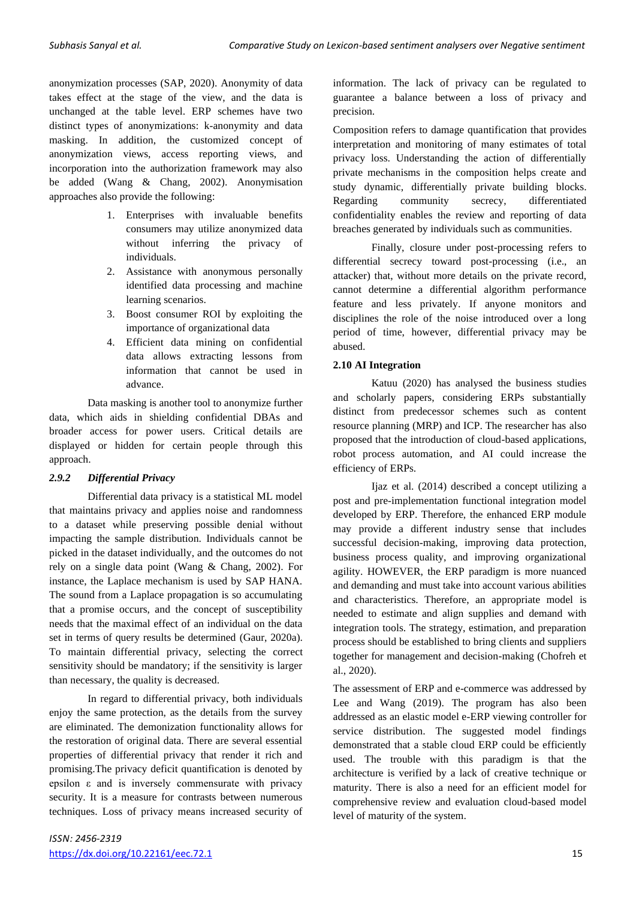anonymization processes (SAP, 2020). Anonymity of data takes effect at the stage of the view, and the data is unchanged at the table level. ERP schemes have two distinct types of anonymizations: k-anonymity and data masking. In addition, the customized concept of anonymization views, access reporting views, and incorporation into the authorization framework may also be added (Wang & Chang, 2002). Anonymisation approaches also provide the following:

- 1. Enterprises with invaluable benefits consumers may utilize anonymized data without inferring the privacy of individuals.
- 2. Assistance with anonymous personally identified data processing and machine learning scenarios.
- 3. Boost consumer ROI by exploiting the importance of organizational data
- 4. Efficient data mining on confidential data allows extracting lessons from information that cannot be used in advance.

Data masking is another tool to anonymize further data, which aids in shielding confidential DBAs and broader access for power users. Critical details are displayed or hidden for certain people through this approach.

## *2.9.2 Differential Privacy*

Differential data privacy is a statistical ML model that maintains privacy and applies noise and randomness to a dataset while preserving possible denial without impacting the sample distribution. Individuals cannot be picked in the dataset individually, and the outcomes do not rely on a single data point (Wang & Chang, 2002). For instance, the Laplace mechanism is used by SAP HANA. The sound from a Laplace propagation is so accumulating that a promise occurs, and the concept of susceptibility needs that the maximal effect of an individual on the data set in terms of query results be determined (Gaur, 2020a). To maintain differential privacy, selecting the correct sensitivity should be mandatory; if the sensitivity is larger than necessary, the quality is decreased.

In regard to differential privacy, both individuals enjoy the same protection, as the details from the survey are eliminated. The demonization functionality allows for the restoration of original data. There are several essential properties of differential privacy that render it rich and promising.The privacy deficit quantification is denoted by epsilon ε and is inversely commensurate with privacy security. It is a measure for contrasts between numerous techniques. Loss of privacy means increased security of information. The lack of privacy can be regulated to guarantee a balance between a loss of privacy and precision.

Composition refers to damage quantification that provides interpretation and monitoring of many estimates of total privacy loss. Understanding the action of differentially private mechanisms in the composition helps create and study dynamic, differentially private building blocks. Regarding community secrecy, differentiated confidentiality enables the review and reporting of data breaches generated by individuals such as communities.

Finally, closure under post-processing refers to differential secrecy toward post-processing (i.e., an attacker) that, without more details on the private record, cannot determine a differential algorithm performance feature and less privately. If anyone monitors and disciplines the role of the noise introduced over a long period of time, however, differential privacy may be abused.

## **2.10 AI Integration**

Katuu (2020) has analysed the business studies and scholarly papers, considering ERPs substantially distinct from predecessor schemes such as content resource planning (MRP) and ICP. The researcher has also proposed that the introduction of cloud-based applications, robot process automation, and AI could increase the efficiency of ERPs.

Ijaz et al. (2014) described a concept utilizing a post and pre-implementation functional integration model developed by ERP. Therefore, the enhanced ERP module may provide a different industry sense that includes successful decision-making, improving data protection, business process quality, and improving organizational agility. HOWEVER, the ERP paradigm is more nuanced and demanding and must take into account various abilities and characteristics. Therefore, an appropriate model is needed to estimate and align supplies and demand with integration tools. The strategy, estimation, and preparation process should be established to bring clients and suppliers together for management and decision-making (Chofreh et al., 2020).

The assessment of ERP and e-commerce was addressed by Lee and Wang (2019). The program has also been addressed as an elastic model e-ERP viewing controller for service distribution. The suggested model findings demonstrated that a stable cloud ERP could be efficiently used. The trouble with this paradigm is that the architecture is verified by a lack of creative technique or maturity. There is also a need for an efficient model for comprehensive review and evaluation cloud-based model level of maturity of the system.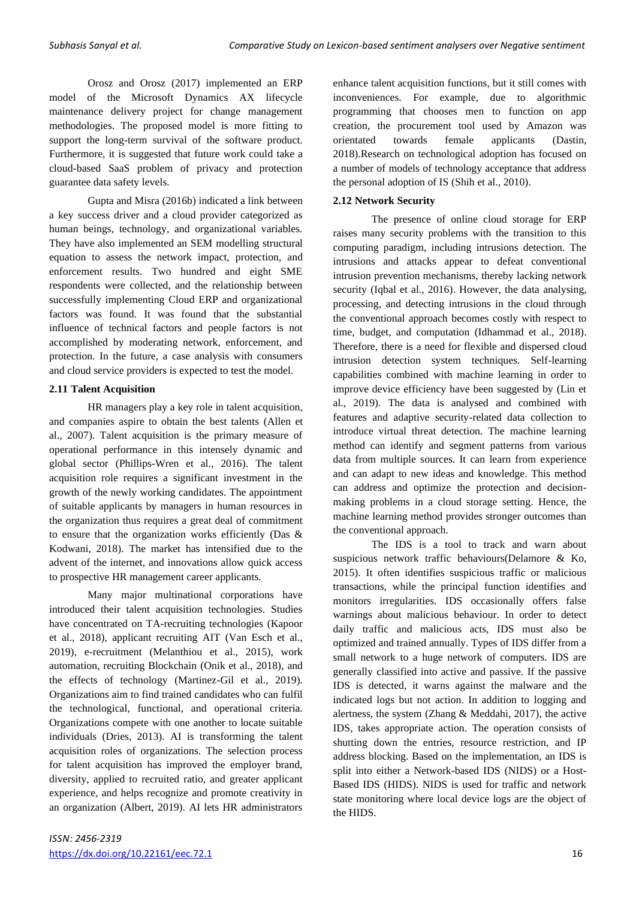Orosz and Orosz (2017) implemented an ERP model of the Microsoft Dynamics AX lifecycle maintenance delivery project for change management methodologies. The proposed model is more fitting to support the long-term survival of the software product. Furthermore, it is suggested that future work could take a cloud-based SaaS problem of privacy and protection guarantee data safety levels.

Gupta and Misra (2016b) indicated a link between a key success driver and a cloud provider categorized as human beings, technology, and organizational variables. They have also implemented an SEM modelling structural equation to assess the network impact, protection, and enforcement results. Two hundred and eight SME respondents were collected, and the relationship between successfully implementing Cloud ERP and organizational factors was found. It was found that the substantial influence of technical factors and people factors is not accomplished by moderating network, enforcement, and protection. In the future, a case analysis with consumers and cloud service providers is expected to test the model.

## **2.11 Talent Acquisition**

HR managers play a key role in talent acquisition, and companies aspire to obtain the best talents (Allen et al., 2007). Talent acquisition is the primary measure of operational performance in this intensely dynamic and global sector (Phillips-Wren et al., 2016). The talent acquisition role requires a significant investment in the growth of the newly working candidates. The appointment of suitable applicants by managers in human resources in the organization thus requires a great deal of commitment to ensure that the organization works efficiently (Das & Kodwani, 2018). The market has intensified due to the advent of the internet, and innovations allow quick access to prospective HR management career applicants.

Many major multinational corporations have introduced their talent acquisition technologies. Studies have concentrated on TA-recruiting technologies (Kapoor et al., 2018), applicant recruiting AIT (Van Esch et al., 2019), e-recruitment (Melanthiou et al., 2015), work automation, recruiting Blockchain (Onik et al., 2018), and the effects of technology (Martinez-Gil et al., 2019). Organizations aim to find trained candidates who can fulfil the technological, functional, and operational criteria. Organizations compete with one another to locate suitable individuals (Dries, 2013). AI is transforming the talent acquisition roles of organizations. The selection process for talent acquisition has improved the employer brand, diversity, applied to recruited ratio, and greater applicant experience, and helps recognize and promote creativity in an organization (Albert, 2019). AI lets HR administrators

enhance talent acquisition functions, but it still comes with inconveniences. For example, due to algorithmic programming that chooses men to function on app creation, the procurement tool used by Amazon was orientated towards female applicants (Dastin, 2018).Research on technological adoption has focused on a number of models of technology acceptance that address the personal adoption of IS (Shih et al., 2010).

## **2.12 Network Security**

The presence of online cloud storage for ERP raises many security problems with the transition to this computing paradigm, including intrusions detection. The intrusions and attacks appear to defeat conventional intrusion prevention mechanisms, thereby lacking network security (Iqbal et al., 2016). However, the data analysing, processing, and detecting intrusions in the cloud through the conventional approach becomes costly with respect to time, budget, and computation (Idhammad et al., 2018). Therefore, there is a need for flexible and dispersed cloud intrusion detection system techniques. Self-learning capabilities combined with machine learning in order to improve device efficiency have been suggested by (Lin et al., 2019). The data is analysed and combined with features and adaptive security-related data collection to introduce virtual threat detection. The machine learning method can identify and segment patterns from various data from multiple sources. It can learn from experience and can adapt to new ideas and knowledge. This method can address and optimize the protection and decisionmaking problems in a cloud storage setting. Hence, the machine learning method provides stronger outcomes than the conventional approach.

The IDS is a tool to track and warn about suspicious network traffic behaviours(Delamore & Ko, 2015). It often identifies suspicious traffic or malicious transactions, while the principal function identifies and monitors irregularities. IDS occasionally offers false warnings about malicious behaviour. In order to detect daily traffic and malicious acts, IDS must also be optimized and trained annually. Types of IDS differ from a small network to a huge network of computers. IDS are generally classified into active and passive. If the passive IDS is detected, it warns against the malware and the indicated logs but not action. In addition to logging and alertness, the system (Zhang & Meddahi, 2017), the active IDS, takes appropriate action. The operation consists of shutting down the entries, resource restriction, and IP address blocking. Based on the implementation, an IDS is split into either a Network-based IDS (NIDS) or a Host-Based IDS (HIDS). NIDS is used for traffic and network state monitoring where local device logs are the object of the HIDS.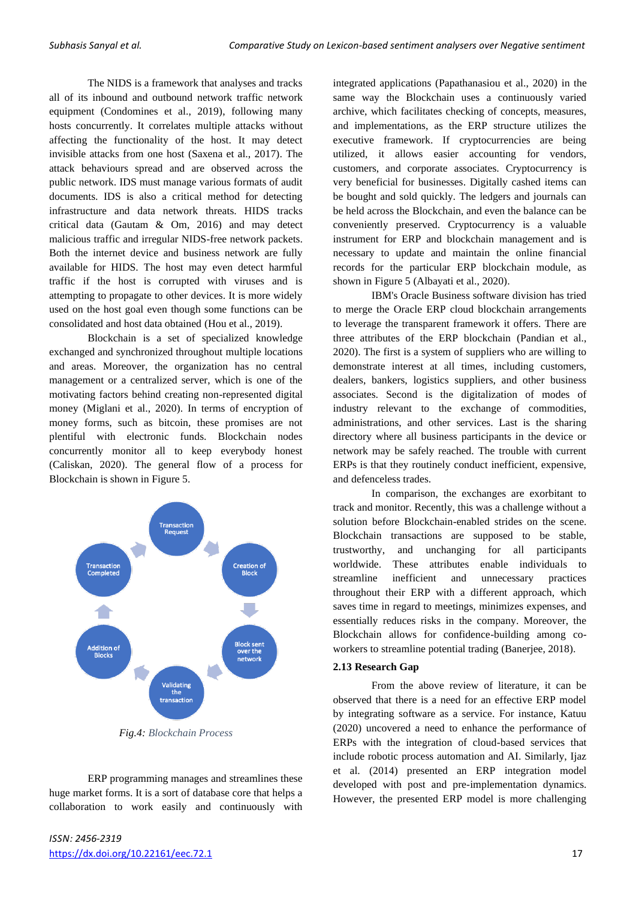The NIDS is a framework that analyses and tracks all of its inbound and outbound network traffic network equipment (Condomines et al., 2019), following many hosts concurrently. It correlates multiple attacks without affecting the functionality of the host. It may detect invisible attacks from one host (Saxena et al., 2017). The attack behaviours spread and are observed across the public network. IDS must manage various formats of audit documents. IDS is also a critical method for detecting infrastructure and data network threats. HIDS tracks critical data (Gautam & Om, 2016) and may detect malicious traffic and irregular NIDS-free network packets. Both the internet device and business network are fully available for HIDS. The host may even detect harmful traffic if the host is corrupted with viruses and is attempting to propagate to other devices. It is more widely used on the host goal even though some functions can be consolidated and host data obtained (Hou et al., 2019).

Blockchain is a set of specialized knowledge exchanged and synchronized throughout multiple locations and areas. Moreover, the organization has no central management or a centralized server, which is one of the motivating factors behind creating non-represented digital money (Miglani et al., 2020). In terms of encryption of money forms, such as bitcoin, these promises are not plentiful with electronic funds. Blockchain nodes concurrently monitor all to keep everybody honest (Caliskan, 2020). The general flow of a process for Blockchain is shown in Figure 5.



*Fig.4: Blockchain Process*

ERP programming manages and streamlines these huge market forms. It is a sort of database core that helps a collaboration to work easily and continuously with integrated applications (Papathanasiou et al., 2020) in the same way the Blockchain uses a continuously varied archive, which facilitates checking of concepts, measures, and implementations, as the ERP structure utilizes the executive framework. If cryptocurrencies are being utilized, it allows easier accounting for vendors, customers, and corporate associates. Cryptocurrency is very beneficial for businesses. Digitally cashed items can be bought and sold quickly. The ledgers and journals can be held across the Blockchain, and even the balance can be conveniently preserved. Cryptocurrency is a valuable instrument for ERP and blockchain management and is necessary to update and maintain the online financial records for the particular ERP blockchain module, as shown in Figure 5 (Albayati et al., 2020).

IBM's Oracle Business software division has tried to merge the Oracle ERP cloud blockchain arrangements to leverage the transparent framework it offers. There are three attributes of the ERP blockchain (Pandian et al., 2020). The first is a system of suppliers who are willing to demonstrate interest at all times, including customers, dealers, bankers, logistics suppliers, and other business associates. Second is the digitalization of modes of industry relevant to the exchange of commodities, administrations, and other services. Last is the sharing directory where all business participants in the device or network may be safely reached. The trouble with current ERPs is that they routinely conduct inefficient, expensive, and defenceless trades.

In comparison, the exchanges are exorbitant to track and monitor. Recently, this was a challenge without a solution before Blockchain-enabled strides on the scene. Blockchain transactions are supposed to be stable, trustworthy, and unchanging for all participants worldwide. These attributes enable individuals to streamline inefficient and unnecessary practices throughout their ERP with a different approach, which saves time in regard to meetings, minimizes expenses, and essentially reduces risks in the company. Moreover, the Blockchain allows for confidence-building among coworkers to streamline potential trading (Banerjee, 2018).

## **2.13 Research Gap**

From the above review of literature, it can be observed that there is a need for an effective ERP model by integrating software as a service. For instance, Katuu (2020) uncovered a need to enhance the performance of ERPs with the integration of cloud-based services that include robotic process automation and AI. Similarly, Ijaz et al. (2014) presented an ERP integration model developed with post and pre-implementation dynamics. However, the presented ERP model is more challenging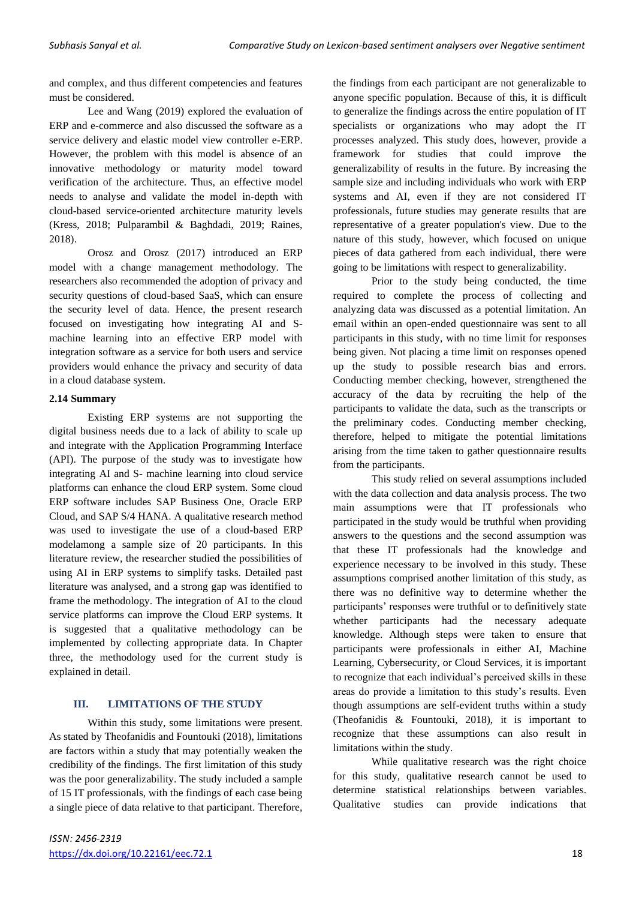and complex, and thus different competencies and features must be considered.

Lee and Wang (2019) explored the evaluation of ERP and e-commerce and also discussed the software as a service delivery and elastic model view controller e-ERP. However, the problem with this model is absence of an innovative methodology or maturity model toward verification of the architecture. Thus, an effective model needs to analyse and validate the model in-depth with cloud-based service-oriented architecture maturity levels (Kress, 2018; Pulparambil & Baghdadi, 2019; Raines, 2018).

Orosz and Orosz (2017) introduced an ERP model with a change management methodology. The researchers also recommended the adoption of privacy and security questions of cloud-based SaaS, which can ensure the security level of data. Hence, the present research focused on investigating how integrating AI and Smachine learning into an effective ERP model with integration software as a service for both users and service providers would enhance the privacy and security of data in a cloud database system.

## **2.14 Summary**

Existing ERP systems are not supporting the digital business needs due to a lack of ability to scale up and integrate with the Application Programming Interface (API). The purpose of the study was to investigate how integrating AI and S- machine learning into cloud service platforms can enhance the cloud ERP system. Some cloud ERP software includes SAP Business One, Oracle ERP Cloud, and SAP S/4 HANA. A qualitative research method was used to investigate the use of a cloud-based ERP modelamong a sample size of 20 participants. In this literature review, the researcher studied the possibilities of using AI in ERP systems to simplify tasks. Detailed past literature was analysed, and a strong gap was identified to frame the methodology. The integration of AI to the cloud service platforms can improve the Cloud ERP systems. It is suggested that a qualitative methodology can be implemented by collecting appropriate data. In Chapter three, the methodology used for the current study is explained in detail.

## **III. LIMITATIONS OF THE STUDY**

Within this study, some limitations were present. As stated by Theofanidis and Fountouki (2018), limitations are factors within a study that may potentially weaken the credibility of the findings. The first limitation of this study was the poor generalizability. The study included a sample of 15 IT professionals, with the findings of each case being a single piece of data relative to that participant. Therefore,

the findings from each participant are not generalizable to anyone specific population. Because of this, it is difficult to generalize the findings across the entire population of IT specialists or organizations who may adopt the IT processes analyzed. This study does, however, provide a framework for studies that could improve the generalizability of results in the future. By increasing the sample size and including individuals who work with ERP systems and AI, even if they are not considered IT professionals, future studies may generate results that are representative of a greater population's view. Due to the nature of this study, however, which focused on unique pieces of data gathered from each individual, there were going to be limitations with respect to generalizability.

Prior to the study being conducted, the time required to complete the process of collecting and analyzing data was discussed as a potential limitation. An email within an open-ended questionnaire was sent to all participants in this study, with no time limit for responses being given. Not placing a time limit on responses opened up the study to possible research bias and errors. Conducting member checking, however, strengthened the accuracy of the data by recruiting the help of the participants to validate the data, such as the transcripts or the preliminary codes. Conducting member checking, therefore, helped to mitigate the potential limitations arising from the time taken to gather questionnaire results from the participants.

This study relied on several assumptions included with the data collection and data analysis process. The two main assumptions were that IT professionals who participated in the study would be truthful when providing answers to the questions and the second assumption was that these IT professionals had the knowledge and experience necessary to be involved in this study. These assumptions comprised another limitation of this study, as there was no definitive way to determine whether the participants' responses were truthful or to definitively state whether participants had the necessary adequate knowledge. Although steps were taken to ensure that participants were professionals in either AI, Machine Learning, Cybersecurity, or Cloud Services, it is important to recognize that each individual's perceived skills in these areas do provide a limitation to this study's results. Even though assumptions are self-evident truths within a study (Theofanidis & Fountouki, 2018), it is important to recognize that these assumptions can also result in limitations within the study.

While qualitative research was the right choice for this study, qualitative research cannot be used to determine statistical relationships between variables. Qualitative studies can provide indications that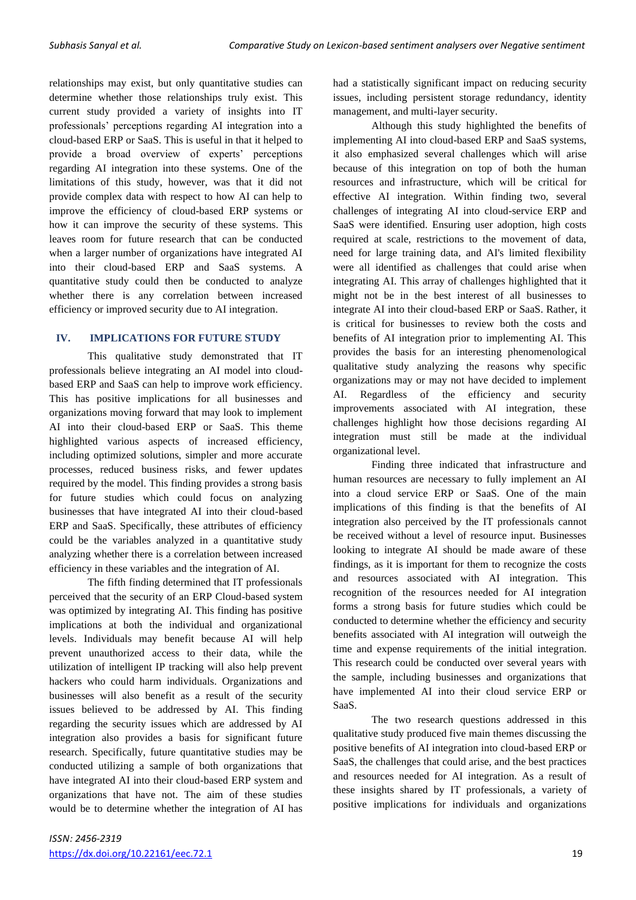relationships may exist, but only quantitative studies can determine whether those relationships truly exist. This current study provided a variety of insights into IT professionals' perceptions regarding AI integration into a cloud-based ERP or SaaS. This is useful in that it helped to provide a broad overview of experts' perceptions regarding AI integration into these systems. One of the limitations of this study, however, was that it did not provide complex data with respect to how AI can help to improve the efficiency of cloud-based ERP systems or how it can improve the security of these systems. This leaves room for future research that can be conducted when a larger number of organizations have integrated AI into their cloud-based ERP and SaaS systems. A quantitative study could then be conducted to analyze whether there is any correlation between increased efficiency or improved security due to AI integration.

## **IV. IMPLICATIONS FOR FUTURE STUDY**

This qualitative study demonstrated that IT professionals believe integrating an AI model into cloudbased ERP and SaaS can help to improve work efficiency. This has positive implications for all businesses and organizations moving forward that may look to implement AI into their cloud-based ERP or SaaS. This theme highlighted various aspects of increased efficiency, including optimized solutions, simpler and more accurate processes, reduced business risks, and fewer updates required by the model. This finding provides a strong basis for future studies which could focus on analyzing businesses that have integrated AI into their cloud-based ERP and SaaS. Specifically, these attributes of efficiency could be the variables analyzed in a quantitative study analyzing whether there is a correlation between increased efficiency in these variables and the integration of AI.

The fifth finding determined that IT professionals perceived that the security of an ERP Cloud-based system was optimized by integrating AI. This finding has positive implications at both the individual and organizational levels. Individuals may benefit because AI will help prevent unauthorized access to their data, while the utilization of intelligent IP tracking will also help prevent hackers who could harm individuals. Organizations and businesses will also benefit as a result of the security issues believed to be addressed by AI. This finding regarding the security issues which are addressed by AI integration also provides a basis for significant future research. Specifically, future quantitative studies may be conducted utilizing a sample of both organizations that have integrated AI into their cloud-based ERP system and organizations that have not. The aim of these studies would be to determine whether the integration of AI has had a statistically significant impact on reducing security issues, including persistent storage redundancy, identity management, and multi-layer security.

Although this study highlighted the benefits of implementing AI into cloud-based ERP and SaaS systems, it also emphasized several challenges which will arise because of this integration on top of both the human resources and infrastructure, which will be critical for effective AI integration. Within finding two, several challenges of integrating AI into cloud-service ERP and SaaS were identified. Ensuring user adoption, high costs required at scale, restrictions to the movement of data, need for large training data, and AI's limited flexibility were all identified as challenges that could arise when integrating AI. This array of challenges highlighted that it might not be in the best interest of all businesses to integrate AI into their cloud-based ERP or SaaS. Rather, it is critical for businesses to review both the costs and benefits of AI integration prior to implementing AI. This provides the basis for an interesting phenomenological qualitative study analyzing the reasons why specific organizations may or may not have decided to implement AI. Regardless of the efficiency and security improvements associated with AI integration, these challenges highlight how those decisions regarding AI integration must still be made at the individual organizational level.

Finding three indicated that infrastructure and human resources are necessary to fully implement an AI into a cloud service ERP or SaaS. One of the main implications of this finding is that the benefits of AI integration also perceived by the IT professionals cannot be received without a level of resource input. Businesses looking to integrate AI should be made aware of these findings, as it is important for them to recognize the costs and resources associated with AI integration. This recognition of the resources needed for AI integration forms a strong basis for future studies which could be conducted to determine whether the efficiency and security benefits associated with AI integration will outweigh the time and expense requirements of the initial integration. This research could be conducted over several years with the sample, including businesses and organizations that have implemented AI into their cloud service ERP or SaaS.

The two research questions addressed in this qualitative study produced five main themes discussing the positive benefits of AI integration into cloud-based ERP or SaaS, the challenges that could arise, and the best practices and resources needed for AI integration. As a result of these insights shared by IT professionals, a variety of positive implications for individuals and organizations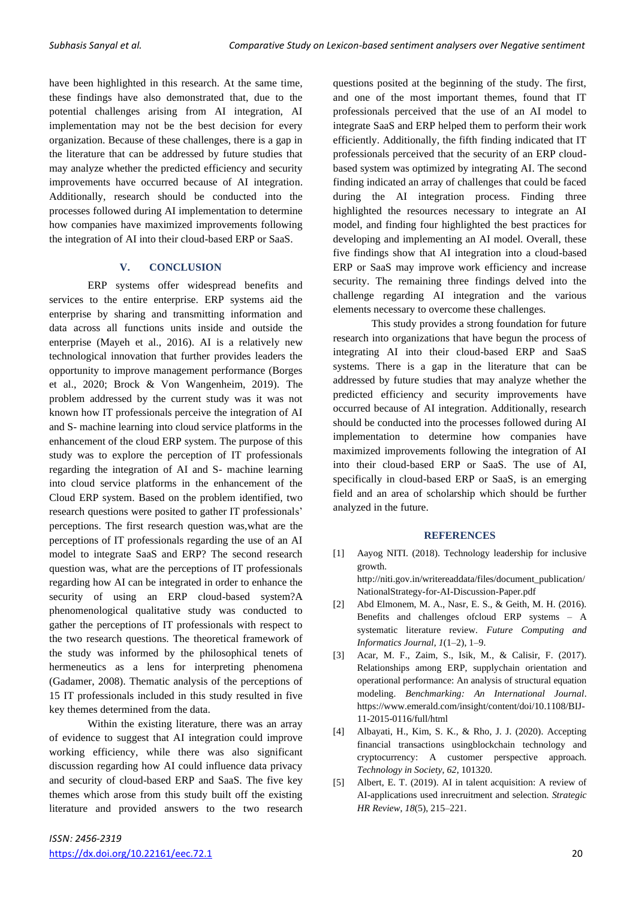have been highlighted in this research. At the same time, these findings have also demonstrated that, due to the potential challenges arising from AI integration, AI implementation may not be the best decision for every organization. Because of these challenges, there is a gap in the literature that can be addressed by future studies that may analyze whether the predicted efficiency and security improvements have occurred because of AI integration. Additionally, research should be conducted into the processes followed during AI implementation to determine how companies have maximized improvements following the integration of AI into their cloud-based ERP or SaaS.

#### **V. CONCLUSION**

ERP systems offer widespread benefits and services to the entire enterprise. ERP systems aid the enterprise by sharing and transmitting information and data across all functions units inside and outside the enterprise (Mayeh et al., 2016). AI is a relatively new technological innovation that further provides leaders the opportunity to improve management performance (Borges et al., 2020; Brock & Von Wangenheim, 2019). The problem addressed by the current study was it was not known how IT professionals perceive the integration of AI and S- machine learning into cloud service platforms in the enhancement of the cloud ERP system. The purpose of this study was to explore the perception of IT professionals regarding the integration of AI and S- machine learning into cloud service platforms in the enhancement of the Cloud ERP system. Based on the problem identified, two research questions were posited to gather IT professionals' perceptions. The first research question was,what are the perceptions of IT professionals regarding the use of an AI model to integrate SaaS and ERP? The second research question was, what are the perceptions of IT professionals regarding how AI can be integrated in order to enhance the security of using an ERP cloud-based system?A phenomenological qualitative study was conducted to gather the perceptions of IT professionals with respect to the two research questions. The theoretical framework of the study was informed by the philosophical tenets of hermeneutics as a lens for interpreting phenomena (Gadamer, 2008). Thematic analysis of the perceptions of 15 IT professionals included in this study resulted in five key themes determined from the data.

Within the existing literature, there was an array of evidence to suggest that AI integration could improve working efficiency, while there was also significant discussion regarding how AI could influence data privacy and security of cloud-based ERP and SaaS. The five key themes which arose from this study built off the existing literature and provided answers to the two research questions posited at the beginning of the study. The first, and one of the most important themes, found that IT professionals perceived that the use of an AI model to integrate SaaS and ERP helped them to perform their work efficiently. Additionally, the fifth finding indicated that IT professionals perceived that the security of an ERP cloudbased system was optimized by integrating AI. The second finding indicated an array of challenges that could be faced during the AI integration process. Finding three highlighted the resources necessary to integrate an AI model, and finding four highlighted the best practices for developing and implementing an AI model. Overall, these five findings show that AI integration into a cloud-based ERP or SaaS may improve work efficiency and increase security. The remaining three findings delved into the challenge regarding AI integration and the various elements necessary to overcome these challenges.

This study provides a strong foundation for future research into organizations that have begun the process of integrating AI into their cloud-based ERP and SaaS systems. There is a gap in the literature that can be addressed by future studies that may analyze whether the predicted efficiency and security improvements have occurred because of AI integration. Additionally, research should be conducted into the processes followed during AI implementation to determine how companies have maximized improvements following the integration of AI into their cloud-based ERP or SaaS. The use of AI, specifically in cloud-based ERP or SaaS, is an emerging field and an area of scholarship which should be further analyzed in the future.

#### **REFERENCES**

- [1] Aayog NITI. (2018). Technology leadership for inclusive growth. http://niti.gov.in/writereaddata/files/document\_publication/ NationalStrategy-for-AI-Discussion-Paper.pdf
- [2] Abd Elmonem, M. A., Nasr, E. S., & Geith, M. H. (2016). Benefits and challenges ofcloud ERP systems – A systematic literature review. *Future Computing and Informatics Journal*, *1*(1–2), 1–9.
- [3] Acar, M. F., Zaim, S., Isik, M., & Calisir, F. (2017). Relationships among ERP, supplychain orientation and operational performance: An analysis of structural equation modeling. *Benchmarking: An International Journal*. https://www.emerald.com/insight/content/doi/10.1108/BIJ-11-2015-0116/full/html
- [4] Albayati, H., Kim, S. K., & Rho, J. J. (2020). Accepting financial transactions usingblockchain technology and cryptocurrency: A customer perspective approach. *Technology in Society*, *62*, 101320.
- [5] Albert, E. T. (2019). AI in talent acquisition: A review of AI-applications used inrecruitment and selection. *Strategic HR Review*, *18*(5), 215–221.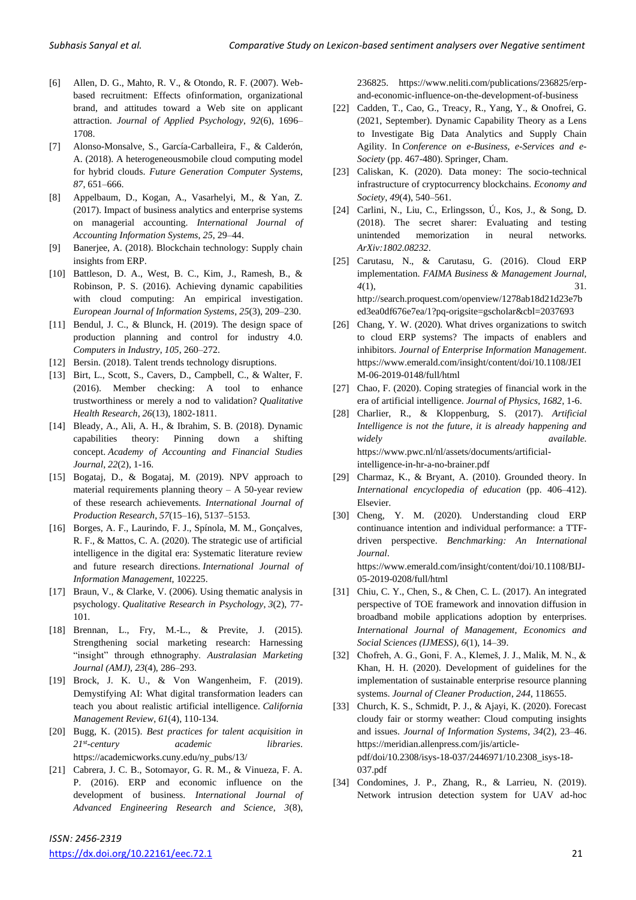- [6] Allen, D. G., Mahto, R. V., & Otondo, R. F. (2007). Webbased recruitment: Effects ofinformation, organizational brand, and attitudes toward a Web site on applicant attraction. *Journal of Applied Psychology*, *92*(6), 1696– 1708.
- [7] Alonso-Monsalve, S., García-Carballeira, F., & Calderón, A. (2018). A heterogeneousmobile cloud computing model for hybrid clouds. *Future Generation Computer Systems*, *87*, 651–666.
- [8] Appelbaum, D., Kogan, A., Vasarhelyi, M., & Yan, Z. (2017). Impact of business analytics and enterprise systems on managerial accounting. *International Journal of Accounting Information Systems*, *25*, 29–44.
- [9] Banerjee, A. (2018). Blockchain technology: Supply chain insights from ERP.
- [10] Battleson, D. A., West, B. C., Kim, J., Ramesh, B., & Robinson, P. S. (2016). Achieving dynamic capabilities with cloud computing: An empirical investigation. *European Journal of Information Systems*, *25*(3), 209–230.
- [11] Bendul, J. C., & Blunck, H. (2019). The design space of production planning and control for industry 4.0. *Computers in Industry*, *105*, 260–272.
- [12] Bersin. (2018). Talent trends technology disruptions.
- [13] Birt, L., Scott, S., Cavers, D., Campbell, C., & Walter, F. (2016). Member checking: A tool to enhance trustworthiness or merely a nod to validation? *Qualitative Health Research*, *26*(13), 1802-1811.
- [14] Bleady, A., Ali, A. H., & Ibrahim, S. B. (2018). Dynamic capabilities theory: Pinning down a shifting concept. *Academy of Accounting and Financial Studies Journal*, *22*(2), 1-16.
- [15] Bogataj, D., & Bogataj, M. (2019). NPV approach to material requirements planning theory  $- A 50$ -year review of these research achievements. *International Journal of Production Research*, *57*(15–16), 5137–5153.
- [16] Borges, A. F., Laurindo, F. J., Spínola, M. M., Gonçalves, R. F., & Mattos, C. A. (2020). The strategic use of artificial intelligence in the digital era: Systematic literature review and future research directions. *International Journal of Information Management*, 102225.
- [17] Braun, V., & Clarke, V. (2006). Using thematic analysis in psychology. *Qualitative Research in Psychology*, *3*(2), 77- 101.
- [18] Brennan, L., Fry, M.-L., & Previte, J. (2015). Strengthening social marketing research: Harnessing "insight" through ethnography. *Australasian Marketing Journal (AMJ)*, *23*(4), 286–293.
- [19] Brock, J. K. U., & Von Wangenheim, F. (2019). Demystifying AI: What digital transformation leaders can teach you about realistic artificial intelligence. *California Management Review*, *61*(4), 110-134.
- [20] Bugg, K. (2015). *Best practices for talent acquisition in 21st*  $$ https://academicworks.cuny.edu/ny\_pubs/13/
- [21] Cabrera, J. C. B., Sotomayor, G. R. M., & Vinueza, F. A. P. (2016). ERP and economic influence on the development of business. *International Journal of Advanced Engineering Research and Science*, *3*(8),

236825. https://www.neliti.com/publications/236825/erpand-economic-influence-on-the-development-of-business

- [22] Cadden, T., Cao, G., Treacy, R., Yang, Y., & Onofrei, G. (2021, September). Dynamic Capability Theory as a Lens to Investigate Big Data Analytics and Supply Chain Agility. In *Conference on e-Business, e-Services and e-Society* (pp. 467-480). Springer, Cham.
- [23] Caliskan, K. (2020). Data money: The socio-technical infrastructure of cryptocurrency blockchains. *Economy and Society*, *49*(4), 540–561.
- [24] Carlini, N., Liu, C., Erlingsson, Ú., Kos, J., & Song, D. (2018). The secret sharer: Evaluating and testing unintended memorization in neural networks. *ArXiv:1802.08232*.
- [25] Carutasu, N., & Carutasu, G. (2016). Cloud ERP implementation. *FAIMA Business & Management Journal*, *4*(1), 31. http://search.proquest.com/openview/1278ab18d21d23e7b ed3ea0df676e7ea/1?pq-origsite=gscholar&cbl=2037693
- [26] Chang, Y. W. (2020). What drives organizations to switch to cloud ERP systems? The impacts of enablers and inhibitors. *Journal of Enterprise Information Management*. https://www.emerald.com/insight/content/doi/10.1108/JEI M-06-2019-0148/full/html
- [27] Chao, F. (2020). Coping strategies of financial work in the era of artificial intelligence. *Journal of Physics*, *1682*, 1-6.
- [28] Charlier, R., & Kloppenburg, S. (2017). *Artificial Intelligence is not the future, it is already happening and widely available*. https://www.pwc.nl/nl/assets/documents/artificialintelligence-in-hr-a-no-brainer.pdf
- [29] Charmaz, K., & Bryant, A. (2010). Grounded theory. In *International encyclopedia of education* (pp. 406–412). Elsevier.
- [30] Cheng, Y. M. (2020). Understanding cloud ERP continuance intention and individual performance: a TTFdriven perspective. *Benchmarking: An International Journal*. https://www.emerald.com/insight/content/doi/10.1108/BIJ-
- 05-2019-0208/full/html [31] Chiu, C. Y., Chen, S., & Chen, C. L. (2017). An integrated perspective of TOE framework and innovation diffusion in broadband mobile applications adoption by enterprises. *International Journal of Management, Economics and*
- [32] Chofreh, A. G., Goni, F. A., Klemeš, J. J., Malik, M. N., & Khan, H. H. (2020). Development of guidelines for the implementation of sustainable enterprise resource planning systems. *Journal of Cleaner Production*, *244*, 118655.

*Social Sciences (IJMESS)*, *6*(1), 14–39.

- [33] Church, K. S., Schmidt, P. J., & Ajayi, K. (2020). Forecast cloudy fair or stormy weather: Cloud computing insights and issues. *Journal of Information Systems*, *34*(2), 23–46. https://meridian.allenpress.com/jis/articlepdf/doi/10.2308/isys-18-037/2446971/10.2308\_isys-18- 037.pdf
- [34] Condomines, J. P., Zhang, R., & Larrieu, N. (2019). Network intrusion detection system for UAV ad-hoc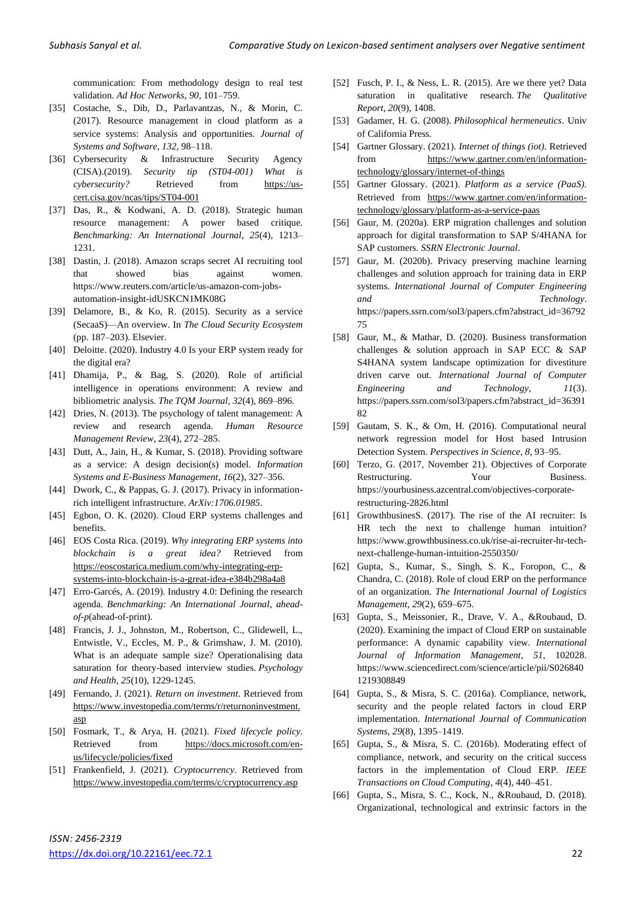communication: From methodology design to real test validation. *Ad Hoc Networks*, *90*, 101–759.

- [35] Costache, S., Dib, D., Parlavantzas, N., & Morin, C. (2017). Resource management in cloud platform as a service systems: Analysis and opportunities. *Journal of Systems and Software*, *132*, 98–118.
- [36] Cybersecurity & Infrastructure Security Agency (CISA).(2019). *Security tip (ST04-001) What is cybersecurity?* Retrieved from [https://us](https://us-cert.cisa.gov/ncas/tips/ST04-001)[cert.cisa.gov/ncas/tips/ST04-001](https://us-cert.cisa.gov/ncas/tips/ST04-001)
- [37] Das, R., & Kodwani, A. D. (2018). Strategic human resource management: A power based critique. *Benchmarking: An International Journal*, *25*(4), 1213– 1231.
- [38] Dastin, J. (2018). Amazon scraps secret AI recruiting tool that showed bias against women. https://www.reuters.com/article/us-amazon-com-jobsautomation-insight-idUSKCN1MK08G
- [39] Delamore, B., & Ko, R. (2015). Security as a service (SecaaS)—An overview. In *The Cloud Security Ecosystem* (pp. 187–203). Elsevier.
- [40] Deloitte. (2020). Industry 4.0 Is your ERP system ready for the digital era?
- [41] Dhamija, P., & Bag, S. (2020). Role of artificial intelligence in operations environment: A review and bibliometric analysis. *The TQM Journal*, *32*(4), 869–896.
- [42] Dries, N. (2013). The psychology of talent management: A review and research agenda. *Human Resource Management Review*, *23*(4), 272–285.
- [43] Dutt, A., Jain, H., & Kumar, S. (2018). Providing software as a service: A design decision(s) model. *Information Systems and E-Business Management*, *16*(2), 327–356.
- [44] Dwork, C., & Pappas, G. J. (2017). Privacy in informationrich intelligent infrastructure. *ArXiv:1706.01985*.
- [45] Egbon, O. K. (2020). Cloud ERP systems challenges and benefits.
- [46] EOS Costa Rica. (2019). *Why integrating ERP systems into blockchain is a great idea?* Retrieved from [https://eoscostarica.medium.com/why-integrating-erp](https://eoscostarica.medium.com/why-integrating-erp-systems-into-blockchain-is-a-great-idea-e384b298a4a8)[systems-into-blockchain-is-a-great-idea-e384b298a4a8](https://eoscostarica.medium.com/why-integrating-erp-systems-into-blockchain-is-a-great-idea-e384b298a4a8)
- [47] Erro-Garcés, A. (2019). Industry 4.0: Defining the research agenda. *Benchmarking: An International Journal*, *aheadof*-*p*(ahead-of-print).
- [48] Francis, J. J., Johnston, M., Robertson, C., Glidewell, L., Entwistle, V., Eccles, M. P., & Grimshaw, J. M. (2010). What is an adequate sample size? Operationalising data saturation for theory-based interview studies. *Psychology and Health*, *25*(10), 1229-1245.
- [49] Fernando, J. (2021). *Return on investment*. Retrieved from [https://www.investopedia.com/terms/r/returnoninvestment.](https://www.investopedia.com/terms/r/returnoninvestment.asp) [asp](https://www.investopedia.com/terms/r/returnoninvestment.asp)
- [50] Fosmark, T., & Arya, H. (2021). *Fixed lifecycle policy*. Retrieved from [https://docs.microsoft.com/en](https://docs.microsoft.com/en-us/lifecycle/policies/fixed)[us/lifecycle/policies/fixed](https://docs.microsoft.com/en-us/lifecycle/policies/fixed)
- [51] Frankenfield, J. (2021). *Cryptocurrency*. Retrieved from <https://www.investopedia.com/terms/c/cryptocurrency.asp>
- [52] Fusch, P. I., & Ness, L. R. (2015). Are we there yet? Data saturation in qualitative research. *The Qualitative Report*, *20*(9), 1408.
- [53] Gadamer, H. G. (2008). *Philosophical hermeneutics*. Univ of California Press.
- [54] Gartner Glossary. (2021). *Internet of things (iot)*. Retrieved from [https://www.gartner.com/en/information](https://www.gartner.com/en/information-technology/glossary/internet-of-things)[technology/glossary/internet-of-things](https://www.gartner.com/en/information-technology/glossary/internet-of-things)
- [55] Gartner Glossary. (2021). *Platform as a service (PaaS)*. Retrieved from [https://www.gartner.com/en/information](https://www.gartner.com/en/information-technology/glossary/platform-as-a-service-paas)[technology/glossary/platform-as-a-service-paas](https://www.gartner.com/en/information-technology/glossary/platform-as-a-service-paas)
- [56] Gaur, M. (2020a). ERP migration challenges and solution approach for digital transformation to SAP S/4HANA for SAP customers. *SSRN Electronic Journal*.
- [57] Gaur, M. (2020b). Privacy preserving machine learning challenges and solution approach for training data in ERP systems. *International Journal of Computer Engineering and Technology*. https://papers.ssrn.com/sol3/papers.cfm?abstract\_id=36792 75
- [58] Gaur, M., & Mathar, D. (2020). Business transformation challenges & solution approach in SAP ECC & SAP S4HANA system landscape optimization for divestiture driven carve out. *International Journal of Computer Engineering and Technology*, *11*(3). https://papers.ssrn.com/sol3/papers.cfm?abstract\_id=36391 82
- [59] Gautam, S. K., & Om, H. (2016). Computational neural network regression model for Host based Intrusion Detection System. *Perspectives in Science*, *8*, 93–95.
- [60] Terzo, G. (2017, November 21). Objectives of Corporate Restructuring. Your Business. https://yourbusiness.azcentral.com/objectives-corporaterestructuring-2826.html
- [61] GrowthbusinesS. (2017). The rise of the AI recruiter: Is HR tech the next to challenge human intuition? https://www.growthbusiness.co.uk/rise-ai-recruiter-hr-technext-challenge-human-intuition-2550350/
- [62] Gupta, S., Kumar, S., Singh, S. K., Foropon, C., & Chandra, C. (2018). Role of cloud ERP on the performance of an organization. *The International Journal of Logistics Management*, *29*(2), 659–675.
- [63] Gupta, S., Meissonier, R., Drave, V. A., &Roubaud, D. (2020). Examining the impact of Cloud ERP on sustainable performance: A dynamic capability view. *International Journal of Information Management*, *51*, 102028. https://www.sciencedirect.com/science/article/pii/S026840 1219308849
- [64] Gupta, S., & Misra, S. C. (2016a). Compliance, network, security and the people related factors in cloud ERP implementation. *International Journal of Communication Systems*, *29*(8), 1395–1419.
- [65] Gupta, S., & Misra, S. C. (2016b). Moderating effect of compliance, network, and security on the critical success factors in the implementation of Cloud ERP. *IEEE Transactions on Cloud Computing*, *4*(4), 440–451.
- [66] Gupta, S., Misra, S. C., Kock, N., &Roubaud, D. (2018). Organizational, technological and extrinsic factors in the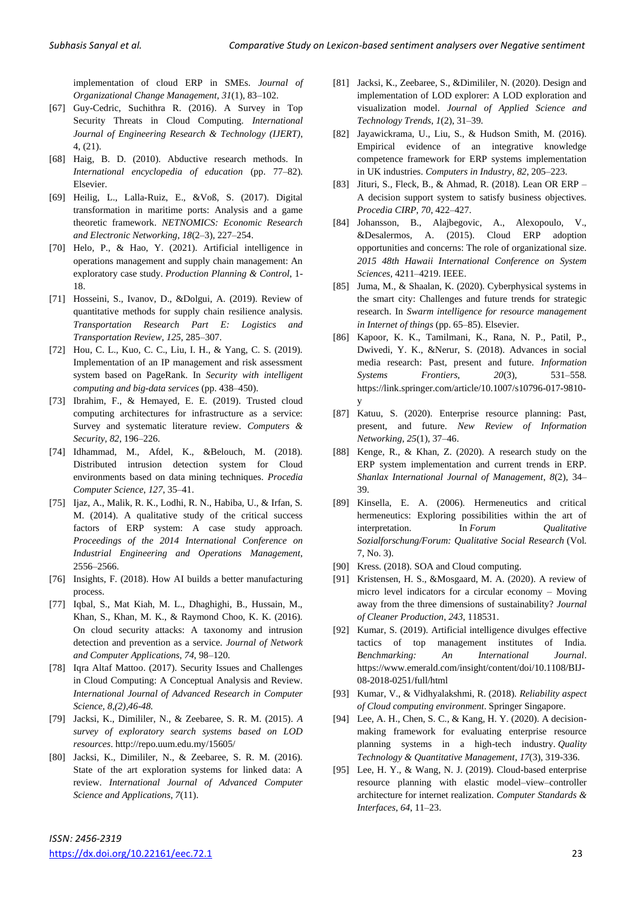implementation of cloud ERP in SMEs. *Journal of Organizational Change Management*, *31*(1), 83–102.

- [67] Guy-Cedric, Suchithra R. (2016). A Survey in Top Security Threats in Cloud Computing. *International Journal of Engineering Research & Technology (IJERT)*, 4, (21).
- [68] Haig, B. D. (2010). Abductive research methods. In *International encyclopedia of education* (pp. 77–82). Elsevier.
- [69] Heilig, L., Lalla-Ruiz, E., &Voß, S. (2017). Digital transformation in maritime ports: Analysis and a game theoretic framework. *NETNOMICS: Economic Research and Electronic Networking*, *18*(2–3), 227–254.
- [70] Helo, P., & Hao, Y. (2021). Artificial intelligence in operations management and supply chain management: An exploratory case study. *Production Planning & Control*, 1- 18.
- [71] Hosseini, S., Ivanov, D., &Dolgui, A. (2019). Review of quantitative methods for supply chain resilience analysis. *Transportation Research Part E: Logistics and Transportation Review*, *125*, 285–307.
- [72] Hou, C. L., Kuo, C. C., Liu, I. H., & Yang, C. S. (2019). Implementation of an IP management and risk assessment system based on PageRank. In *Security with intelligent computing and big-data services* (pp. 438–450).
- [73] Ibrahim, F., & Hemayed, E. E. (2019). Trusted cloud computing architectures for infrastructure as a service: Survey and systematic literature review. *Computers & Security*, *82*, 196–226.
- [74] Idhammad, M., Afdel, K., &Belouch, M. (2018). Distributed intrusion detection system for Cloud environments based on data mining techniques. *Procedia Computer Science*, *127*, 35–41.
- [75] Ijaz, A., Malik, R. K., Lodhi, R. N., Habiba, U., & Irfan, S. M. (2014). A qualitative study of the critical success factors of ERP system: A case study approach. *Proceedings of the 2014 International Conference on Industrial Engineering and Operations Management*, 2556–2566.
- [76] Insights, F. (2018). How AI builds a better manufacturing process.
- [77] Iqbal, S., Mat Kiah, M. L., Dhaghighi, B., Hussain, M., Khan, S., Khan, M. K., & Raymond Choo, K. K. (2016). On cloud security attacks: A taxonomy and intrusion detection and prevention as a service. *Journal of Network and Computer Applications*, *74*, 98–120.
- [78] Iqra Altaf Mattoo. (2017). Security Issues and Challenges in Cloud Computing: A Conceptual Analysis and Review. *International Journal of Advanced Research in Computer Science, 8,(2),46-48.*
- [79] Jacksi, K., Dimililer, N., & Zeebaree, S. R. M. (2015). *A survey of exploratory search systems based on LOD resources*. http://repo.uum.edu.my/15605/
- [80] Jacksi, K., Dimililer, N., & Zeebaree, S. R. M. (2016). State of the art exploration systems for linked data: A review. *International Journal of Advanced Computer Science and Applications*, *7*(11).
- [81] Jacksi, K., Zeebaree, S., &Dimililer, N. (2020). Design and implementation of LOD explorer: A LOD exploration and visualization model. *Journal of Applied Science and Technology Trends*, *1*(2), 31–39.
- [82] Jayawickrama, U., Liu, S., & Hudson Smith, M. (2016). Empirical evidence of an integrative knowledge competence framework for ERP systems implementation in UK industries. *Computers in Industry*, *82*, 205–223.
- [83] Jituri, S., Fleck, B., & Ahmad, R. (2018). Lean OR ERP A decision support system to satisfy business objectives. *Procedia CIRP*, *70*, 422–427.
- [84] Johansson, B., Alajbegovic, A., Alexopoulo, V., &Desalermos, A. (2015). Cloud ERP adoption opportunities and concerns: The role of organizational size. *2015 48th Hawaii International Conference on System Sciences*, 4211–4219. IEEE.
- [85] Juma, M., & Shaalan, K. (2020). Cyberphysical systems in the smart city: Challenges and future trends for strategic research. In *Swarm intelligence for resource management in Internet of things* (pp. 65–85). Elsevier.
- [86] Kapoor, K. K., Tamilmani, K., Rana, N. P., Patil, P., Dwivedi, Y. K., &Nerur, S. (2018). Advances in social media research: Past, present and future. *Information Systems Frontiers*, *20*(3), 531–558. https://link.springer.com/article/10.1007/s10796-017-9810 y
- [87] Katuu, S. (2020). Enterprise resource planning: Past, present, and future. *New Review of Information Networking*, *25*(1), 37–46.
- [88] Kenge, R., & Khan, Z. (2020). A research study on the ERP system implementation and current trends in ERP. *Shanlax International Journal of Management*, *8*(2), 34– 39.
- [89] Kinsella, E. A. (2006). Hermeneutics and critical hermeneutics: Exploring possibilities within the art of interpretation. In *Forum Qualitative Sozialforschung/Forum: Qualitative Social Research* (Vol. 7, No. 3).
- [90] Kress. (2018). SOA and Cloud computing.
- [91] Kristensen, H. S., &Mosgaard, M. A. (2020). A review of micro level indicators for a circular economy – Moving away from the three dimensions of sustainability? *Journal of Cleaner Production*, *243*, 118531.
- [92] Kumar, S. (2019). Artificial intelligence divulges effective tactics of top management institutes of India. *Benchmarking: An International Journal*. https://www.emerald.com/insight/content/doi/10.1108/BIJ-08-2018-0251/full/html
- [93] Kumar, V., & Vidhyalakshmi, R. (2018). *Reliability aspect of Cloud computing environment*. Springer Singapore.
- [94] Lee, A. H., Chen, S. C., & Kang, H. Y. (2020). A decisionmaking framework for evaluating enterprise resource planning systems in a high-tech industry. *Quality Technology & Quantitative Management*, *17*(3), 319-336.
- [95] Lee, H. Y., & Wang, N. J. (2019). Cloud-based enterprise resource planning with elastic model–view–controller architecture for internet realization. *Computer Standards & Interfaces*, *64*, 11–23.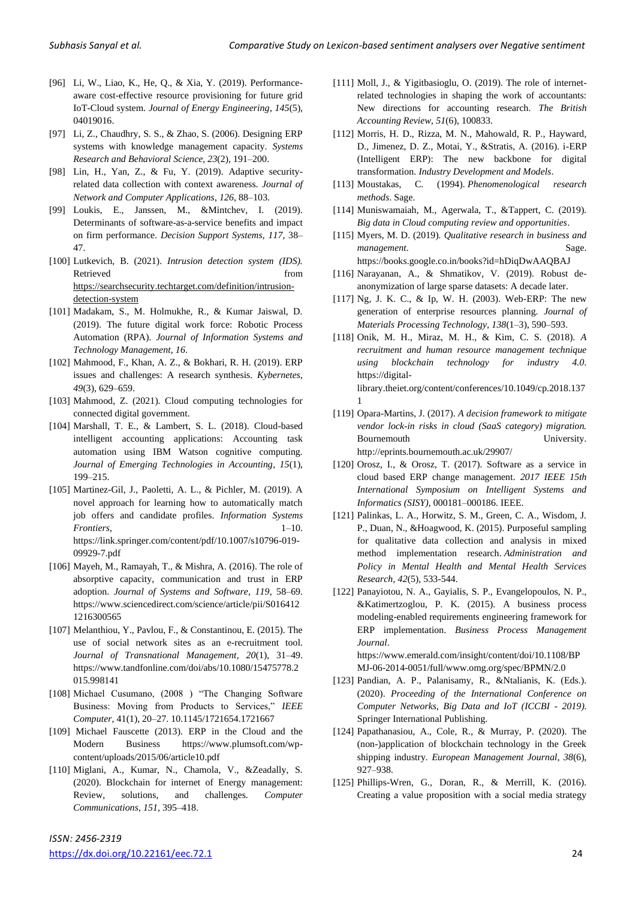- [96] Li, W., Liao, K., He, Q., & Xia, Y. (2019). Performanceaware cost-effective resource provisioning for future grid IoT-Cloud system. *Journal of Energy Engineering*, *145*(5), 04019016.
- [97] Li, Z., Chaudhry, S. S., & Zhao, S. (2006). Designing ERP systems with knowledge management capacity. *Systems Research and Behavioral Science*, *23*(2), 191–200.
- [98] Lin, H., Yan, Z., & Fu, Y. (2019). Adaptive securityrelated data collection with context awareness. *Journal of Network and Computer Applications*, *126*, 88–103.
- [99] Loukis, E., Janssen, M., &Mintchev, I. (2019). Determinants of software-as-a-service benefits and impact on firm performance. *Decision Support Systems*, *117*, 38– 47.
- [100] Lutkevich, B. (2021). *Intrusion detection system (IDS).* Retrieved from the state of  $\sim$ [https://searchsecurity.techtarget.com/definition/intrusion](https://searchsecurity.techtarget.com/definition/intrusion-detection-system)[detection-system](https://searchsecurity.techtarget.com/definition/intrusion-detection-system)
- [101] Madakam, S., M. Holmukhe, R., & Kumar Jaiswal, D. (2019). The future digital work force: Robotic Process Automation (RPA). *Journal of Information Systems and Technology Management*, *16*.
- [102] Mahmood, F., Khan, A. Z., & Bokhari, R. H. (2019). ERP issues and challenges: A research synthesis. *Kybernetes*, *49*(3), 629–659.
- [103] Mahmood, Z. (2021). Cloud computing technologies for connected digital government.
- [104] Marshall, T. E., & Lambert, S. L. (2018). Cloud-based intelligent accounting applications: Accounting task automation using IBM Watson cognitive computing. *Journal of Emerging Technologies in Accounting*, *15*(1), 199–215.
- [105] Martinez-Gil, J., Paoletti, A. L., & Pichler, M. (2019). A novel approach for learning how to automatically match job offers and candidate profiles. *Information Systems Frontiers*, 1–10. https://link.springer.com/content/pdf/10.1007/s10796-019- 09929-7.pdf
- [106] Mayeh, M., Ramayah, T., & Mishra, A. (2016). The role of absorptive capacity, communication and trust in ERP adoption. *Journal of Systems and Software*, *119*, 58–69. https://www.sciencedirect.com/science/article/pii/S016412 1216300565
- [107] Melanthiou, Y., Pavlou, F., & Constantinou, E. (2015). The use of social network sites as an e-recruitment tool. *Journal of Transnational Management*, *20*(1), 31–49. https://www.tandfonline.com/doi/abs/10.1080/15475778.2 015.998141
- [108] Michael Cusumano, (2008) "The Changing Software Business: Moving from Products to Services," *IEEE Computer*, 41(1), 20–27. 10.1145/1721654.1721667
- [109] Michael Fauscette (2013). ERP in the Cloud and the Modern Business https://www.plumsoft.com/wpcontent/uploads/2015/06/article10.pdf
- [110] Miglani, A., Kumar, N., Chamola, V., &Zeadally, S. (2020). Blockchain for internet of Energy management: Review, solutions, and challenges. *Computer Communications*, *151*, 395–418.
- [111] Moll, J., & Yigitbasioglu, O. (2019). The role of internetrelated technologies in shaping the work of accountants: New directions for accounting research. *The British Accounting Review*, *51*(6), 100833.
- [112] Morris, H. D., Rizza, M. N., Mahowald, R. P., Hayward, D., Jimenez, D. Z., Motai, Y., &Stratis, A. (2016). i-ERP (Intelligent ERP): The new backbone for digital transformation. *Industry Development and Models*.
- [113] Moustakas, C. (1994). *Phenomenological research methods*. Sage.
- [114] Muniswamaiah, M., Agerwala, T., &Tappert, C. (2019). *Big data in Cloud computing review and opportunities*.
- [115] Myers, M. D. (2019). *Qualitative research in business and management*. Sage. https://books.google.co.in/books?id=hDiqDwAAQBAJ
- [116] Narayanan, A., & Shmatikov, V. (2019). Robust deanonymization of large sparse datasets: A decade later.
- [117] Ng, J. K. C., & Ip, W. H. (2003). Web-ERP: The new generation of enterprise resources planning. *Journal of Materials Processing Technology*, *138*(1–3), 590–593.
- [118] Onik, M. H., Miraz, M. H., & Kim, C. S. (2018). *A recruitment and human resource management technique using blockchain technology for industry 4.0*. https://digitallibrary.theiet.org/content/conferences/10.1049/cp.2018.137 1
- [119] Opara-Martins, J. (2017). *A decision framework to mitigate vendor lock-in risks in cloud (SaaS category) migration.* Bournemouth University. http://eprints.bournemouth.ac.uk/29907/
- [120] Orosz, I., & Orosz, T. (2017). Software as a service in cloud based ERP change management. *2017 IEEE 15th International Symposium on Intelligent Systems and Informatics (SISY)*, 000181–000186. IEEE.
- [121] Palinkas, L. A., Horwitz, S. M., Green, C. A., Wisdom, J. P., Duan, N., &Hoagwood, K. (2015). Purposeful sampling for qualitative data collection and analysis in mixed method implementation research. *Administration and Policy in Mental Health and Mental Health Services Research*, *42*(5), 533-544.
- [122] Panayiotou, N. A., Gayialis, S. P., Evangelopoulos, N. P., &Katimertzoglou, P. K. (2015). A business process modeling-enabled requirements engineering framework for ERP implementation. *Business Process Management Journal*.

https://www.emerald.com/insight/content/doi/10.1108/BP MJ-06-2014-0051/full/www.omg.org/spec/BPMN/2.0

- [123] Pandian, A. P., Palanisamy, R., &Ntalianis, K. (Eds.). (2020). *Proceeding of the International Conference on Computer Networks, Big Data and IoT (ICCBI - 2019)*. Springer International Publishing.
- [124] Papathanasiou, A., Cole, R., & Murray, P. (2020). The (non-)application of blockchain technology in the Greek shipping industry. *European Management Journal*, *38*(6), 927–938.
- [125] Phillips-Wren, G., Doran, R., & Merrill, K. (2016). Creating a value proposition with a social media strategy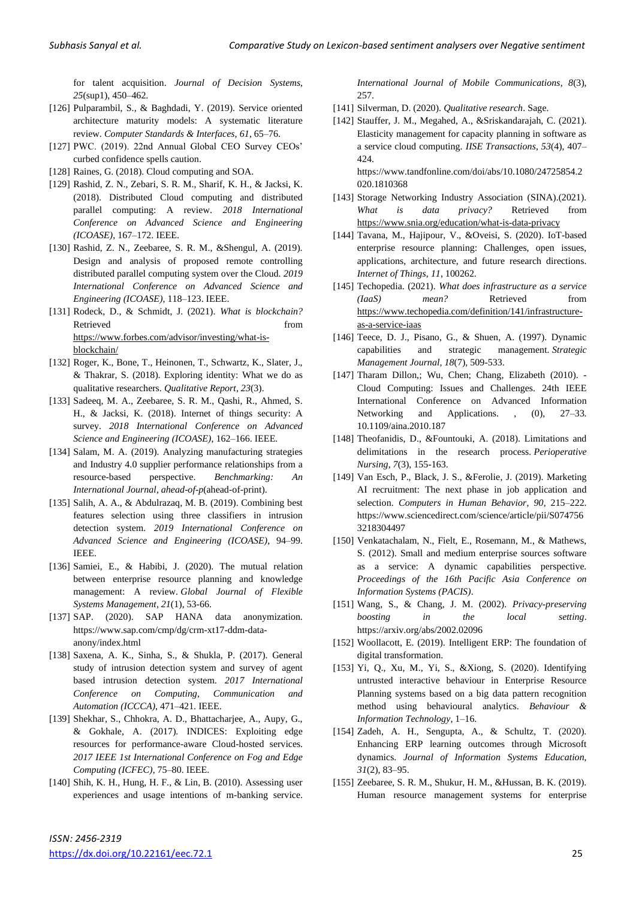for talent acquisition. *Journal of Decision Systems*, *25*(sup1), 450–462.

- [126] Pulparambil, S., & Baghdadi, Y. (2019). Service oriented architecture maturity models: A systematic literature review. *Computer Standards & Interfaces*, *61*, 65–76.
- [127] PWC. (2019). 22nd Annual Global CEO Survey CEOs' curbed confidence spells caution.
- [128] Raines, G. (2018). Cloud computing and SOA.
- [129] Rashid, Z. N., Zebari, S. R. M., Sharif, K. H., & Jacksi, K. (2018). Distributed Cloud computing and distributed parallel computing: A review. *2018 International Conference on Advanced Science and Engineering (ICOASE)*, 167–172. IEEE.
- [130] Rashid, Z. N., Zeebaree, S. R. M., &Shengul, A. (2019). Design and analysis of proposed remote controlling distributed parallel computing system over the Cloud. *2019 International Conference on Advanced Science and Engineering (ICOASE)*, 118–123. IEEE.
- [131] Rodeck, D., & Schmidt, J. (2021). *What is blockchain?*  Retrieved from the state of  $\sim$ [https://www.forbes.com/advisor/investing/what-is](https://www.forbes.com/advisor/investing/what-is-blockchain/)[blockchain/](https://www.forbes.com/advisor/investing/what-is-blockchain/)
- [132] Roger, K., Bone, T., Heinonen, T., Schwartz, K., Slater, J., & Thakrar, S. (2018). Exploring identity: What we do as qualitative researchers. *Qualitative Report*, *23*(3).
- [133] Sadeeq, M. A., Zeebaree, S. R. M., Qashi, R., Ahmed, S. H., & Jacksi, K. (2018). Internet of things security: A survey. *2018 International Conference on Advanced Science and Engineering (ICOASE)*, 162–166. IEEE.
- [134] Salam, M. A. (2019). Analyzing manufacturing strategies and Industry 4.0 supplier performance relationships from a resource-based perspective. *Benchmarking: An International Journal*, *ahead*-*of*-*p*(ahead-of-print).
- [135] Salih, A. A., & Abdulrazaq, M. B. (2019). Combining best features selection using three classifiers in intrusion detection system. *2019 International Conference on Advanced Science and Engineering (ICOASE)*, 94–99. IEEE.
- [136] Samiei, E., & Habibi, J. (2020). The mutual relation between enterprise resource planning and knowledge management: A review. *Global Journal of Flexible Systems Management*, *21*(1), 53-66.
- [137] SAP. (2020). SAP HANA data anonymization. https://www.sap.com/cmp/dg/crm-xt17-ddm-dataanony/index.html
- [138] Saxena, A. K., Sinha, S., & Shukla, P. (2017). General study of intrusion detection system and survey of agent based intrusion detection system. *2017 International Conference on Computing, Communication and Automation (ICCCA)*, 471–421. IEEE.
- [139] Shekhar, S., Chhokra, A. D., Bhattacharjee, A., Aupy, G., & Gokhale, A. (2017). INDICES: Exploiting edge resources for performance-aware Cloud-hosted services. *2017 IEEE 1st International Conference on Fog and Edge Computing (ICFEC)*, 75–80. IEEE.
- [140] Shih, K. H., Hung, H. F., & Lin, B. (2010). Assessing user experiences and usage intentions of m-banking service.

*International Journal of Mobile Communications*, *8*(3), 257.

- [141] Silverman, D. (2020). *Qualitative research*. Sage.
- [142] Stauffer, J. M., Megahed, A., &Sriskandarajah, C. (2021). Elasticity management for capacity planning in software as a service cloud computing. *IISE Transactions*, *53*(4), 407– 424.

https://www.tandfonline.com/doi/abs/10.1080/24725854.2 020.1810368

- [143] Storage Networking Industry Association (SINA).(2021). *What is data privacy?* Retrieved from <https://www.snia.org/education/what-is-data-privacy>
- [144] Tavana, M., Hajipour, V., &Oveisi, S. (2020). IoT-based enterprise resource planning: Challenges, open issues, applications, architecture, and future research directions. *Internet of Things*, *11*, 100262.
- [145] Techopedia. (2021). *What does infrastructure as a service (IaaS) mean?* Retrieved from [https://www.techopedia.com/definition/141/infrastructure](https://www.techopedia.com/definition/141/infrastructure-as-a-service-iaas)[as-a-service-iaas](https://www.techopedia.com/definition/141/infrastructure-as-a-service-iaas)
- [146] Teece, D. J., Pisano, G., & Shuen, A. (1997). Dynamic capabilities and strategic management. *Strategic Management Journal*, *18*(7), 509-533.
- [147] Tharam Dillon,; Wu, Chen; Chang, Elizabeth (2010). Cloud Computing: Issues and Challenges. 24th IEEE International Conference on Advanced Information Networking and Applications. , (0), 27–33. 10.1109/aina.2010.187
- [148] Theofanidis, D., &Fountouki, A. (2018). Limitations and delimitations in the research process. *Perioperative Nursing*, *7*(3), 155-163.
- [149] Van Esch, P., Black, J. S., &Ferolie, J. (2019). Marketing AI recruitment: The next phase in job application and selection. *Computers in Human Behavior*, *90*, 215–222. https://www.sciencedirect.com/science/article/pii/S074756 3218304497
- [150] Venkatachalam, N., Fielt, E., Rosemann, M., & Mathews, S. (2012). Small and medium enterprise sources software as a service: A dynamic capabilities perspective. *Proceedings of the 16th Pacific Asia Conference on Information Systems (PACIS)*.
- [151] Wang, S., & Chang, J. M. (2002). *Privacy-preserving boosting in the local setting*. https://arxiv.org/abs/2002.02096
- [152] Woollacott, E. (2019). Intelligent ERP: The foundation of digital transformation.
- [153] Yi, Q., Xu, M., Yi, S., &Xiong, S. (2020). Identifying untrusted interactive behaviour in Enterprise Resource Planning systems based on a big data pattern recognition method using behavioural analytics. *Behaviour & Information Technology*, 1–16.
- [154] Zadeh, A. H., Sengupta, A., & Schultz, T. (2020). Enhancing ERP learning outcomes through Microsoft dynamics. *Journal of Information Systems Education*, *31*(2), 83–95.
- [155] Zeebaree, S. R. M., Shukur, H. M., &Hussan, B. K. (2019). Human resource management systems for enterprise